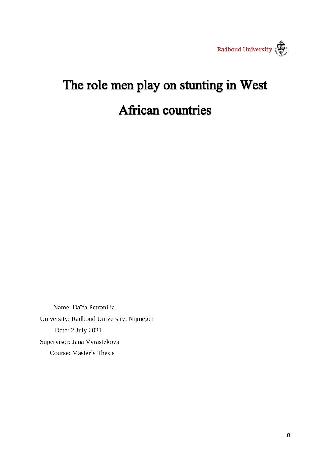

# The role men play on stunting in West **African countries**

 Name: Daïfa Petronilia University: Radboud University, Nijmegen Date: 2 July 2021 Supervisor: Jana Vyrastekova Course: Master's Thesis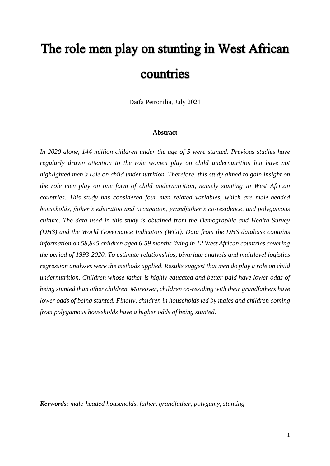# The role men play on stunting in West African countries

Daïfa Petronilia, July 2021

#### **Abstract**

*In 2020 alone, 144 million children under the age of 5 were stunted. Previous studies have regularly drawn attention to the role women play on child undernutrition but have not highlighted men's role on child undernutrition. Therefore, this study aimed to gain insight on the role men play on one form of child undernutrition, namely stunting in West African countries. This study has considered four men related variables, which are male-headed households, father's education and occupation, grandfather's co-residence, and polygamous culture. The data used in this study is obtained from the Demographic and Health Survey (DHS) and the World Governance Indicators (WGI). Data from the DHS database contains information on 58,845 children aged 6-59 months living in 12 West African countries covering the period of 1993-2020. To estimate relationships, bivariate analysis and multilevel logistics regression analyses were the methods applied. Results suggest that men do play a role on child undernutrition. Children whose father is highly educated and better-paid have lower odds of being stunted than other children. Moreover, children co-residing with their grandfathers have lower odds of being stunted. Finally, children in households led by males and children coming from polygamous households have a higher odds of being stunted.* 

*Keywords: male-headed households, father, grandfather, polygamy, stunting*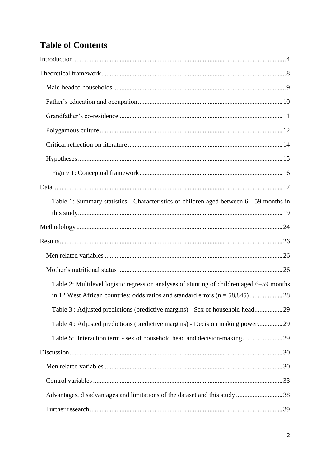## **Table of Contents**

| Table 1: Summary statistics - Characteristics of children aged between 6 - 59 months in   |
|-------------------------------------------------------------------------------------------|
|                                                                                           |
|                                                                                           |
|                                                                                           |
|                                                                                           |
| Table 2: Multilevel logistic regression analyses of stunting of children aged 6–59 months |
| Table 3 : Adjusted predictions (predictive margins) - Sex of household head29             |
| Table 4 : Adjusted predictions (predictive margins) - Decision making power29             |
| Table 5: Interaction term - sex of household head and decision-making29                   |
|                                                                                           |
|                                                                                           |
|                                                                                           |
| Advantages, disadvantages and limitations of the dataset and this study 38                |
|                                                                                           |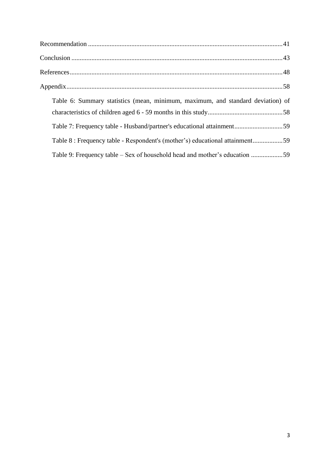| Table 6: Summary statistics (mean, minimum, maximum, and standard deviation) of |
|---------------------------------------------------------------------------------|
| Table 7: Frequency table - Husband/partner's educational attainment59           |
| Table 8 : Frequency table - Respondent's (mother's) educational attainment59    |
| Table 9: Frequency table – Sex of household head and mother's education 59      |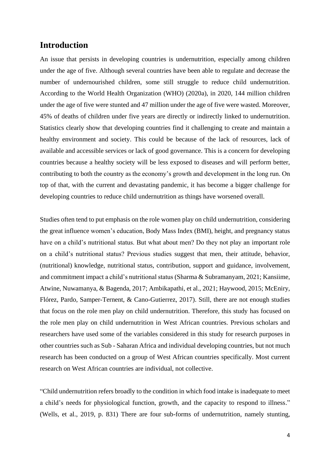## <span id="page-4-0"></span>**Introduction**

An issue that persists in developing countries is undernutrition, especially among children under the age of five. Although several countries have been able to regulate and decrease the number of undernourished children, some still struggle to reduce child undernutrition. According to the World Health Organization (WHO) (2020a), in 2020, 144 million children under the age of five were stunted and 47 million under the age of five were wasted. Moreover, 45% of deaths of children under five years are directly or indirectly linked to undernutrition. Statistics clearly show that developing countries find it challenging to create and maintain a healthy environment and society. This could be because of the lack of resources, lack of available and accessible services or lack of good governance. This is a concern for developing countries because a healthy society will be less exposed to diseases and will perform better, contributing to both the country as the economy's growth and development in the long run. On top of that, with the current and devastating pandemic, it has become a bigger challenge for developing countries to reduce child undernutrition as things have worsened overall.

Studies often tend to put emphasis on the role women play on child undernutrition, considering the great influence women's education, Body Mass Index (BMI), height, and pregnancy status have on a child's nutritional status. But what about men? Do they not play an important role on a child's nutritional status? Previous studies suggest that men, their attitude, behavior, (nutritional) knowledge, nutritional status, contribution, support and guidance, involvement, and commitment impact a child's nutritional status (Sharma & Subramanyam, 2021; Kansiime, Atwine, Nuwamanya, & Bagenda, 2017; Ambikapathi, et al., 2021; Haywood, 2015; McEniry, Flórez, Pardo, Samper-Ternent, & Cano-Gutierrez, 2017). Still, there are not enough studies that focus on the role men play on child undernutrition. Therefore, this study has focused on the role men play on child undernutrition in West African countries. Previous scholars and researchers have used some of the variables considered in this study for research purposes in other countries such as Sub - Saharan Africa and individual developing countries, but not much research has been conducted on a group of West African countries specifically. Most current research on West African countries are individual, not collective.

"Child undernutrition refers broadly to the condition in which food intake is inadequate to meet a child's needs for physiological function, growth, and the capacity to respond to illness." (Wells, et al., 2019, p. 831) There are four sub-forms of undernutrition, namely stunting,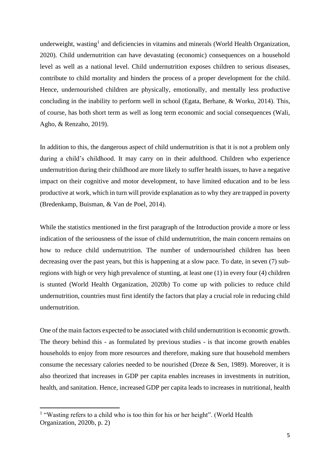underweight, wasting<sup>1</sup> and deficiencies in vitamins and minerals (World Health Organization, 2020). Child undernutrition can have devastating (economic) consequences on a household level as well as a national level. Child undernutrition exposes children to serious diseases, contribute to child mortality and hinders the process of a proper development for the child. Hence, undernourished children are physically, emotionally, and mentally less productive concluding in the inability to perform well in school (Egata, Berhane, & Worku, 2014). This, of course, has both short term as well as long term economic and social consequences (Wali, Agho, & Renzaho, 2019).

In addition to this, the dangerous aspect of child undernutrition is that it is not a problem only during a child's childhood. It may carry on in their adulthood. Children who experience undernutrition during their childhood are more likely to suffer health issues, to have a negative impact on their cognitive and motor development, to have limited education and to be less productive at work, which in turn will provide explanation as to why they are trapped in poverty (Bredenkamp, Buisman, & Van de Poel, 2014).

While the statistics mentioned in the first paragraph of the [Introduction](#page-4-0) provide a more or less indication of the seriousness of the issue of child undernutrition, the main concern remains on how to reduce child undernutrition. The number of undernourished children has been decreasing over the past years, but this is happening at a slow pace. To date, in seven (7) subregions with high or very high prevalence of stunting, at least one (1) in every four (4) children is stunted (World Health Organization, 2020b) To come up with policies to reduce child undernutrition, countries must first identify the factors that play a crucial role in reducing child undernutrition.

One of the main factors expected to be associated with child undernutrition is economic growth. The theory behind this - as formulated by previous studies - is that income growth enables households to enjoy from more resources and therefore, making sure that household members consume the necessary calories needed to be nourished (Dreze & Sen, 1989). Moreover, it is also theorized that increases in GDP per capita enables increases in investments in nutrition, health, and sanitation. Hence, increased GDP per capita leads to increases in nutritional, health

<sup>&</sup>lt;sup>1</sup> "Wasting refers to a child who is too thin for his or her height". (World Health Organization, 2020b, p. 2)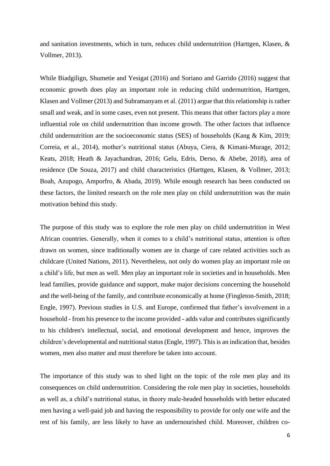and sanitation investments, which in turn, reduces child undernutrition (Harttgen, Klasen, & Vollmer, 2013).

While Biadgilign, Shumetie and Yesigat (2016) and Soriano and Garrido (2016) suggest that economic growth does play an important role in reducing child undernutrition, Harttgen, Klasen and Vollmer (2013) and Subramanyam et al. (2011) argue that this relationship is rather small and weak, and in some cases, even not present. This means that other factors play a more influential role on child undernutrition than income growth. The other factors that influence child undernutrition are the socioeconomic status (SES) of households (Kang & Kim, 2019; Correia, et al., 2014), mother's nutritional status (Abuya, Ciera, & Kimani-Murage, 2012; Keats, 2018; Heath & Jayachandran, 2016; Gelu, Edris, Derso, & Abebe, 2018), area of residence (De Souza, 2017) and child characteristics (Harttgen, Klasen, & Vollmer, 2013; Boah, Azupogo, Amporfro, & Abada, 2019). While enough research has been conducted on these factors, the limited research on the role men play on child undernutrition was the main motivation behind this study.

The purpose of this study was to explore the role men play on child undernutrition in West African countries. Generally, when it comes to a child's nutritional status, attention is often drawn on women, since traditionally women are in charge of care related activities such as childcare (United Nations, 2011). Nevertheless, not only do women play an important role on a child's life, but men as well. Men play an important role in societies and in households. Men lead families, provide guidance and support, make major decisions concerning the household and the well-being of the family, and contribute economically at home (Fingleton-Smith, 2018; Engle, 1997). Previous studies in U.S. and Europe, confirmed that father's involvement in a household - from his presence to the income provided - adds value and contributes significantly to his children's intellectual, social, and emotional development and hence, improves the children's developmental and nutritional status (Engle, 1997). This is an indication that, besides women, men also matter and must therefore be taken into account.

The importance of this study was to shed light on the topic of the role men play and its consequences on child undernutrition. Considering the role men play in societies, households as well as, a child's nutritional status, in theory male-headed households with better educated men having a well-paid job and having the responsibility to provide for only one wife and the rest of his family, are less likely to have an undernourished child. Moreover, children co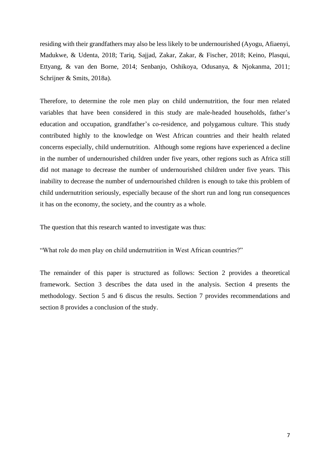residing with their grandfathers may also be less likely to be undernourished (Ayogu, Afiaenyi, Madukwe, & Udenta, 2018; Tariq, Sajjad, Zakar, Zakar, & Fischer, 2018; Keino, Plasqui, Ettyang, & van den Borne, 2014; Senbanjo, Oshikoya, Odusanya, & Njokanma, 2011; Schrijner & Smits, 2018a).

Therefore, to determine the role men play on child undernutrition, the four men related variables that have been considered in this study are male-headed households, father's education and occupation, grandfather's co-residence, and polygamous culture. This study contributed highly to the knowledge on West African countries and their health related concerns especially, child undernutrition. Although some regions have experienced a decline in the number of undernourished children under five years, other regions such as Africa still did not manage to decrease the number of undernourished children under five years. This inability to decrease the number of undernourished children is enough to take this problem of child undernutrition seriously, especially because of the short run and long run consequences it has on the economy, the society, and the country as a whole.

The question that this research wanted to investigate was thus:

"What role do men play on child undernutrition in West African countries?"

The remainder of this paper is structured as follows: Section 2 provides a theoretical framework. Section 3 describes the data used in the analysis. Section 4 presents the methodology. Section 5 and 6 discus the results. Section 7 provides recommendations and section 8 provides a conclusion of the study.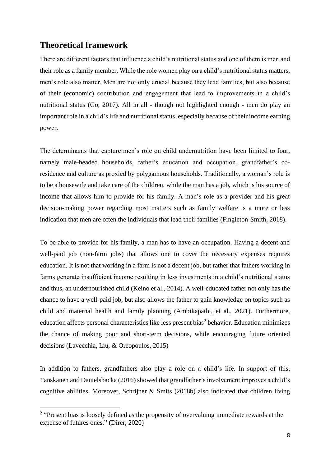## <span id="page-8-0"></span>**Theoretical framework**

There are different factors that influence a child's nutritional status and one of them is men and their role as a family member. While the role women play on a child's nutritional status matters, men's role also matter. Men are not only crucial because they lead families, but also because of their (economic) contribution and engagement that lead to improvements in a child's nutritional status (Go, 2017). All in all - though not highlighted enough - men do play an important role in a child's life and nutritional status, especially because of their income earning power.

The determinants that capture men's role on child undernutrition have been limited to four, namely male-headed households, father's education and occupation, grandfather's coresidence and culture as proxied by polygamous households. Traditionally, a woman's role is to be a housewife and take care of the children, while the man has a job, which is his source of income that allows him to provide for his family. A man's role as a provider and his great decision-making power regarding most matters such as family welfare is a more or less indication that men are often the individuals that lead their families (Fingleton-Smith, 2018).

To be able to provide for his family, a man has to have an occupation. Having a decent and well-paid job (non-farm jobs) that allows one to cover the necessary expenses requires education. It is not that working in a farm is not a decent job, but rather that fathers working in farms generate insufficient income resulting in less investments in a child's nutritional status and thus, an undernourished child (Keino et al., 2014). A well-educated father not only has the chance to have a well-paid job, but also allows the father to gain knowledge on topics such as child and maternal health and family planning (Ambikapathi, et al., 2021). Furthermore, education affects personal characteristics like less present bias<sup>2</sup> behavior. Education minimizes the chance of making poor and short-term decisions, while encouraging future oriented decisions (Lavecchia, Liu, & Oreopoulos, 2015)

In addition to fathers, grandfathers also play a role on a child's life. In support of this, Tanskanen and Danielsbacka (2016) showed that grandfather's involvement improves a child's cognitive abilities. Moreover, Schrijner & Smits (2018b) also indicated that children living

<sup>&</sup>lt;sup>2</sup> "Present bias is loosely defined as the propensity of overvaluing immediate rewards at the expense of futures ones." (Direr, 2020)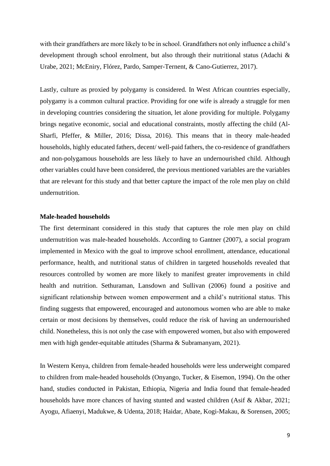with their grandfathers are more likely to be in school. Grandfathers not only influence a child's development through school enrolment, but also through their nutritional status (Adachi & Urabe, 2021; McEniry, Flórez, Pardo, Samper-Ternent, & Cano-Gutierrez, 2017).

Lastly, culture as proxied by polygamy is considered. In West African countries especially, polygamy is a common cultural practice. Providing for one wife is already a struggle for men in developing countries considering the situation, let alone providing for multiple. Polygamy brings negative economic, social and educational constraints, mostly affecting the child (Al-Sharfi, Pfeffer, & Miller, 2016; Dissa, 2016). This means that in theory male-headed households, highly educated fathers, decent/ well-paid fathers, the co-residence of grandfathers and non-polygamous households are less likely to have an undernourished child. Although other variables could have been considered, the previous mentioned variables are the variables that are relevant for this study and that better capture the impact of the role men play on child undernutrition.

### <span id="page-9-0"></span>**Male-headed households**

The first determinant considered in this study that captures the role men play on child undernutrition was male-headed households. According to Gantner (2007), a social program implemented in Mexico with the goal to improve school enrollment, attendance, educational performance, health, and nutritional status of children in targeted households revealed that resources controlled by women are more likely to manifest greater improvements in child health and nutrition. Sethuraman, Lansdown and Sullivan (2006) found a positive and significant relationship between women empowerment and a child's nutritional status. This finding suggests that empowered, encouraged and autonomous women who are able to make certain or most decisions by themselves, could reduce the risk of having an undernourished child. Nonetheless, this is not only the case with empowered women, but also with empowered men with high gender-equitable attitudes (Sharma & Subramanyam, 2021).

In Western Kenya, children from female-headed households were less underweight compared to children from male-headed households (Onyango, Tucker, & Eisemon, 1994). On the other hand, studies conducted in Pakistan, Ethiopia, Nigeria and India found that female-headed households have more chances of having stunted and wasted children (Asif & Akbar, 2021; Ayogu, Afiaenyi, Madukwe, & Udenta, 2018; Haidar, Abate, Kogi-Makau, & Sorensen, 2005;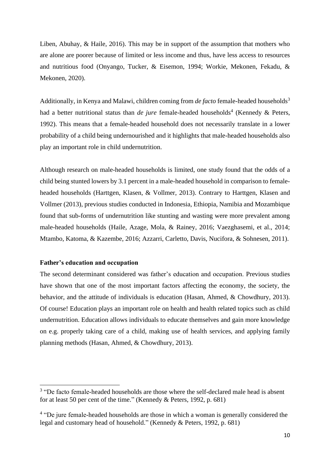Liben, Abuhay, & Haile, 2016). This may be in support of the assumption that mothers who are alone are poorer because of limited or less income and thus, have less access to resources and nutritious food (Onyango, Tucker, & Eisemon, 1994; Workie, Mekonen, Fekadu, & Mekonen, 2020).

Additionally, in Kenya and Malawi, children coming from *de facto* female-headed households<sup>3</sup> had a better nutritional status than *de jure* female-headed households<sup>4</sup> (Kennedy & Peters, 1992). This means that a female-headed household does not necessarily translate in a lower probability of a child being undernourished and it highlights that male-headed households also play an important role in child undernutrition.

Although research on male-headed households is limited, one study found that the odds of a child being stunted lowers by 3.1 percent in a male-headed household in comparison to femaleheaded households (Harttgen, Klasen, & Vollmer, 2013). Contrary to Harttgen, Klasen and Vollmer (2013), previous studies conducted in Indonesia, Ethiopia, Namibia and Mozambique found that sub-forms of undernutrition like stunting and wasting were more prevalent among male-headed households (Haile, Azage, Mola, & Rainey, 2016; Vaezghasemi, et al., 2014; Mtambo, Katoma, & Kazembe, 2016; Azzarri, Carletto, Davis, Nucifora, & Sohnesen, 2011).

#### <span id="page-10-0"></span>**Father's education and occupation**

The second determinant considered was father's education and occupation. Previous studies have shown that one of the most important factors affecting the economy, the society, the behavior, and the attitude of individuals is education (Hasan, Ahmed, & Chowdhury, 2013). Of course! Education plays an important role on health and health related topics such as child undernutrition. Education allows individuals to educate themselves and gain more knowledge on e.g. properly taking care of a child, making use of health services, and applying family planning methods (Hasan, Ahmed, & Chowdhury, 2013).

<sup>&</sup>lt;sup>3</sup> "De facto female-headed households are those where the self-declared male head is absent for at least 50 per cent of the time." (Kennedy & Peters, 1992, p. 681)

<sup>&</sup>lt;sup>4</sup> "De jure female-headed households are those in which a woman is generally considered the legal and customary head of household." (Kennedy & Peters, 1992, p. 681)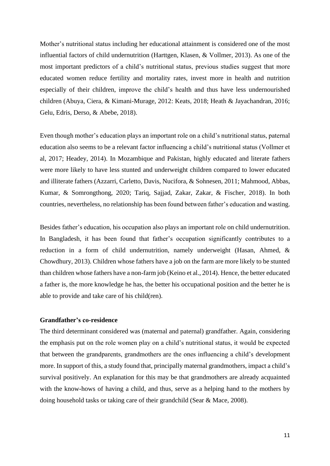Mother's nutritional status including her educational attainment is considered one of the most influential factors of child undernutrition (Harttgen, Klasen, & Vollmer, 2013). As one of the most important predictors of a child's nutritional status, previous studies suggest that more educated women reduce fertility and mortality rates, invest more in health and nutrition especially of their children, improve the child's health and thus have less undernourished children (Abuya, Ciera, & Kimani-Murage, 2012: Keats, 2018; Heath & Jayachandran, 2016; Gelu, Edris, Derso, & Abebe, 2018).

Even though mother's education plays an important role on a child's nutritional status, paternal education also seems to be a relevant factor influencing a child's nutritional status (Vollmer et al, 2017; Headey, 2014). In Mozambique and Pakistan, highly educated and literate fathers were more likely to have less stunted and underweight children compared to lower educated and illiterate fathers (Azzarri, Carletto, Davis, Nucifora, & Sohnesen, 2011; Mahmood, Abbas, Kumar, & Somrongthong, 2020; Tariq, Sajjad, Zakar, Zakar, & Fischer, 2018). In both countries, nevertheless, no relationship has been found between father's education and wasting.

Besides father's education, his occupation also plays an important role on child undernutrition. In Bangladesh, it has been found that father's occupation significantly contributes to a reduction in a form of child undernutrition, namely underweight (Hasan, Ahmed, & Chowdhury, 2013). Children whose fathers have a job on the farm are more likely to be stunted than children whose fathers have a non-farm job (Keino et al., 2014). Hence, the better educated a father is, the more knowledge he has, the better his occupational position and the better he is able to provide and take care of his child(ren).

#### <span id="page-11-0"></span>**Grandfather's co-residence**

The third determinant considered was (maternal and paternal) grandfather. Again, considering the emphasis put on the role women play on a child's nutritional status, it would be expected that between the grandparents, grandmothers are the ones influencing a child's development more. In support of this, a study found that, principally maternal grandmothers, impact a child's survival positively. An explanation for this may be that grandmothers are already acquainted with the know-hows of having a child, and thus, serve as a helping hand to the mothers by doing household tasks or taking care of their grandchild (Sear & Mace, 2008).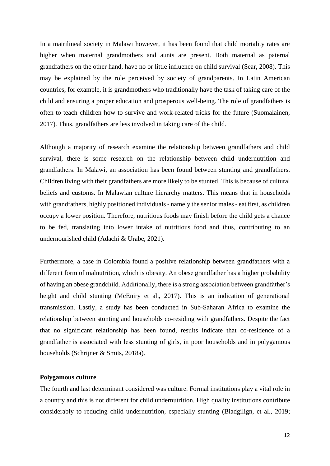In a matrilineal society in Malawi however, it has been found that child mortality rates are higher when maternal grandmothers and aunts are present. Both maternal as paternal grandfathers on the other hand, have no or little influence on child survival (Sear, 2008). This may be explained by the role perceived by society of grandparents. In Latin American countries, for example, it is grandmothers who traditionally have the task of taking care of the child and ensuring a proper education and prosperous well-being. The role of grandfathers is often to teach children how to survive and work-related tricks for the future (Suomalainen, 2017). Thus, grandfathers are less involved in taking care of the child.

Although a majority of research examine the relationship between grandfathers and child survival, there is some research on the relationship between child undernutrition and grandfathers. In Malawi, an association has been found between stunting and grandfathers. Children living with their grandfathers are more likely to be stunted. This is because of cultural beliefs and customs. In Malawian culture hierarchy matters. This means that in households with grandfathers, highly positioned individuals - namely the senior males - eat first, as children occupy a lower position. Therefore, nutritious foods may finish before the child gets a chance to be fed, translating into lower intake of nutritious food and thus, contributing to an undernourished child (Adachi & Urabe, 2021).

Furthermore, a case in Colombia found a positive relationship between grandfathers with a different form of malnutrition, which is obesity. An obese grandfather has a higher probability of having an obese grandchild. Additionally, there is a strong association between grandfather's height and child stunting (McEniry et al., 2017). This is an indication of generational transmission. Lastly, a study has been conducted in Sub-Saharan Africa to examine the relationship between stunting and households co-residing with grandfathers. Despite the fact that no significant relationship has been found, results indicate that co-residence of a grandfather is associated with less stunting of girls, in poor households and in polygamous households (Schrijner & Smits, 2018a).

#### <span id="page-12-0"></span>**Polygamous culture**

The fourth and last determinant considered was culture. Formal institutions play a vital role in a country and this is not different for child undernutrition. High quality institutions contribute considerably to reducing child undernutrition, especially stunting (Biadgilign, et al., 2019;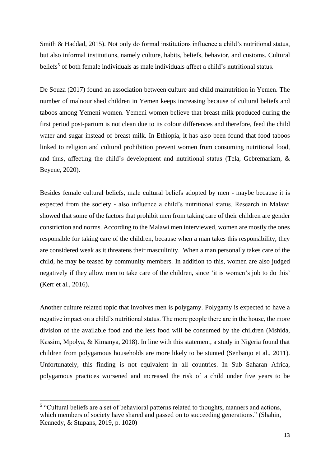Smith & Haddad, 2015). Not only do formal institutions influence a child's nutritional status, but also informal institutions, namely culture, habits, beliefs, behavior, and customs. Cultural beliefs<sup>5</sup> of both female individuals as male individuals affect a child's nutritional status.

De Souza (2017) found an association between culture and child malnutrition in Yemen. The number of malnourished children in Yemen keeps increasing because of cultural beliefs and taboos among Yemeni women. Yemeni women believe that breast milk produced during the first period post-partum is not clean due to its colour differences and therefore, feed the child water and sugar instead of breast milk. In Ethiopia, it has also been found that food taboos linked to religion and cultural prohibition prevent women from consuming nutritional food, and thus, affecting the child's development and nutritional status (Tela, Gebremariam, & Beyene, 2020).

Besides female cultural beliefs, male cultural beliefs adopted by men - maybe because it is expected from the society - also influence a child's nutritional status. Research in Malawi showed that some of the factors that prohibit men from taking care of their children are gender constriction and norms. According to the Malawi men interviewed, women are mostly the ones responsible for taking care of the children, because when a man takes this responsibility, they are considered weak as it threatens their masculinity. When a man personally takes care of the child, he may be teased by community members. In addition to this, women are also judged negatively if they allow men to take care of the children, since 'it is women's job to do this' (Kerr et al., 2016).

Another culture related topic that involves men is polygamy. Polygamy is expected to have a negative impact on a child's nutritional status. The more people there are in the house, the more division of the available food and the less food will be consumed by the children (Mshida, Kassim, Mpolya, & Kimanya, 2018). In line with this statement, a study in Nigeria found that children from polygamous households are more likely to be stunted (Senbanjo et al., 2011). Unfortunately, this finding is not equivalent in all countries. In Sub Saharan Africa, polygamous practices worsened and increased the risk of a child under five years to be

 $<sup>5</sup>$  "Cultural beliefs are a set of behavioral patterns related to thoughts, manners and actions,</sup> which members of society have shared and passed on to succeeding generations." (Shahin, Kennedy, & Stupans, 2019, p. 1020)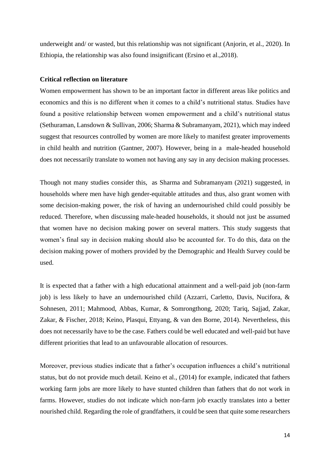underweight and/ or wasted, but this relationship was not significant (Anjorin, et al., 2020). In Ethiopia, the relationship was also found insignificant (Ersino et al.,2018).

#### <span id="page-14-0"></span>**Critical reflection on literature**

Women empowerment has shown to be an important factor in different areas like politics and economics and this is no different when it comes to a child's nutritional status. Studies have found a positive relationship between women empowerment and a child's nutritional status (Sethuraman, Lansdown & Sullivan, 2006; Sharma & Subramanyam, 2021), which may indeed suggest that resources controlled by women are more likely to manifest greater improvements in child health and nutrition (Gantner, 2007). However, being in a male-headed household does not necessarily translate to women not having any say in any decision making processes.

Though not many studies consider this, as Sharma and Subramanyam (2021) suggested, in households where men have high gender-equitable attitudes and thus, also grant women with some decision-making power, the risk of having an undernourished child could possibly be reduced. Therefore, when discussing male-headed households, it should not just be assumed that women have no decision making power on several matters. This study suggests that women's final say in decision making should also be accounted for. To do this, data on the decision making power of mothers provided by the Demographic and Health Survey could be used.

It is expected that a father with a high educational attainment and a well-paid job (non-farm job) is less likely to have an undernourished child (Azzarri, Carletto, Davis, Nucifora, & Sohnesen, 2011; Mahmood, Abbas, Kumar, & Somrongthong, 2020; Tariq, Sajjad, Zakar, Zakar, & Fischer, 2018; Keino, Plasqui, Ettyang, & van den Borne, 2014). Nevertheless, this does not necessarily have to be the case. Fathers could be well educated and well-paid but have different priorities that lead to an unfavourable allocation of resources.

Moreover, previous studies indicate that a father's occupation influences a child's nutritional status, but do not provide much detail. Keino et al., (2014) for example, indicated that fathers working farm jobs are more likely to have stunted children than fathers that do not work in farms. However, studies do not indicate which non-farm job exactly translates into a better nourished child. Regarding the role of grandfathers, it could be seen that quite some researchers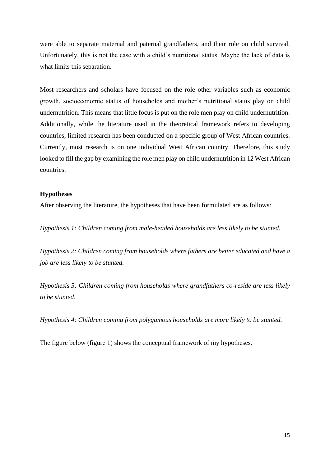were able to separate maternal and paternal grandfathers, and their role on child survival. Unfortunately, this is not the case with a child's nutritional status. Maybe the lack of data is what limits this separation.

Most researchers and scholars have focused on the role other variables such as economic growth, socioeconomic status of households and mother's nutritional status play on child undernutrition. This means that little focus is put on the role men play on child undernutrition. Additionally, while the literature used in the theoretical framework refers to developing countries, limited research has been conducted on a specific group of West African countries. Currently, most research is on one individual West African country. Therefore, this study looked to fill the gap by examining the role men play on child undernutrition in 12 West African countries.

#### <span id="page-15-0"></span>**Hypotheses**

After observing the literature, the hypotheses that have been formulated are as follows:

*Hypothesis 1: Children coming from male-headed households are less likely to be stunted.*

*Hypothesis 2: Children coming from households where fathers are better educated and have a job are less likely to be stunted.*

*Hypothesis 3: Children coming from households where grandfathers co-reside are less likely to be stunted.*

*Hypothesis 4: Children coming from polygamous households are more likely to be stunted.*

The figure below (figure 1) shows the conceptual framework of my hypotheses.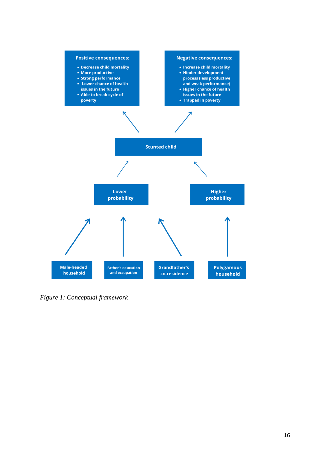

<span id="page-16-0"></span>*Figure 1: Conceptual framework*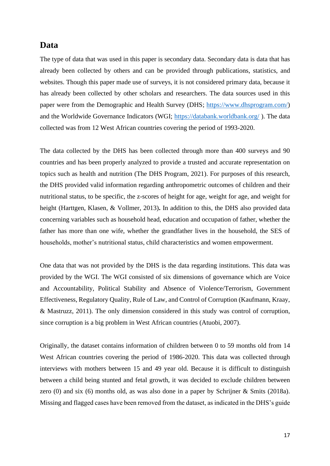## <span id="page-17-0"></span>**Data**

The type of data that was used in this paper is secondary data. Secondary data is data that has already been collected by others and can be provided through publications, statistics, and websites. Though this paper made use of surveys, it is not considered primary data, because it has already been collected by other scholars and researchers. The data sources used in this paper were from the Demographic and Health Survey (DHS; [https://www.dhsprogram.com/\)](https://www.dhsprogram.com/) and the Worldwide Governance Indicators (WGI; <https://databank.worldbank.org/>). The data collected was from 12 West African countries covering the period of 1993-2020.

The data collected by the DHS has been collected through more than 400 surveys and 90 countries and has been properly analyzed to provide a trusted and accurate representation on topics such as health and nutrition (The DHS Program, 2021). For purposes of this research, the DHS provided valid information regarding anthropometric outcomes of children and their nutritional status, to be specific, the z-scores of height for age, weight for age, and weight for height (Harttgen, Klasen, & Vollmer, 2013)**.** In addition to this, the DHS also provided data concerning variables such as household head, education and occupation of father, whether the father has more than one wife, whether the grandfather lives in the household, the SES of households, mother's nutritional status, child characteristics and women empowerment.

One data that was not provided by the DHS is the data regarding institutions. This data was provided by the WGI. The WGI consisted of six dimensions of governance which are Voice and Accountability, Political Stability and Absence of Violence/Terrorism, Government Effectiveness, Regulatory Quality, Rule of Law, and Control of Corruption (Kaufmann, Kraay, & Mastruzz, 2011). The only dimension considered in this study was control of corruption, since corruption is a big problem in West African countries (Atuobi, 2007).

Originally, the dataset contains information of children between 0 to 59 months old from 14 West African countries covering the period of 1986-2020. This data was collected through interviews with mothers between 15 and 49 year old. Because it is difficult to distinguish between a child being stunted and fetal growth, it was decided to exclude children between zero (0) and six (6) months old, as was also done in a paper by Schrijner & Smits (2018a). Missing and flagged cases have been removed from the dataset, as indicated in the DHS's guide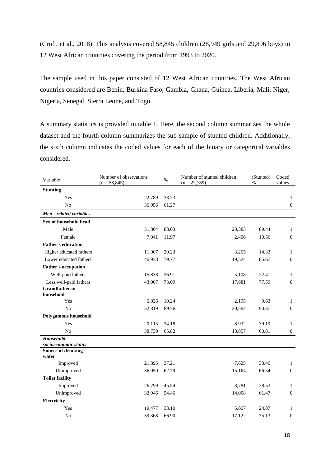(Croft, et al., 2018). This analysis covered 58,845 children (28,949 girls and 29,896 boys) in 12 West African countries covering the period from 1993 to 2020.

The sample used in this paper consisted of 12 West African countries. The West African countries considered are Benin, Burkina Faso, Gambia, Ghana, Guinea, Liberia, Mali, Niger, Nigeria, Senegal, Sierra Leone, and Togo.

A summary statistics is provided in table 1. Here, the second column summarizes the whole dataset and the fourth column summarizes the sub-sample of stunted children. Additionally, the sixth column indicates the coded values for each of the binary or categorical variables considered.

| Variable                           | Number of observations<br>$(n = 58,845)$ | $\%$  | Number of stunted children<br>$(n = 22,789)$ | (Stunted)<br>$\%$ | Coded<br>values  |
|------------------------------------|------------------------------------------|-------|----------------------------------------------|-------------------|------------------|
| <b>Stunting</b>                    |                                          |       |                                              |                   |                  |
| Yes                                | 22,789                                   | 38.73 |                                              |                   | 1                |
| No                                 | 36,056                                   | 61.27 |                                              |                   | $\boldsymbol{0}$ |
| Men - related variables            |                                          |       |                                              |                   |                  |
| Sex of household head              |                                          |       |                                              |                   |                  |
| Male                               | 51,804                                   | 88.03 | 20,383                                       | 89.44             | 1                |
| Female                             | 7,041                                    | 11.97 | 2,406                                        | 10.56             | $\boldsymbol{0}$ |
| <b>Father's education</b>          |                                          |       |                                              |                   |                  |
| Higher educated fathers            | 11,907                                   | 20.23 | 3,265                                        | 14.33             | $\mathbf{1}$     |
| Lower educated fathers             | 46,938                                   | 79.77 | 19,524                                       | 85.67             | $\mathbf{0}$     |
| <b>Father's occupation</b>         |                                          |       |                                              |                   |                  |
| Well-paid fathers                  | 15,838                                   | 26.91 | 5,108                                        | 22.41             | $\mathbf{1}$     |
| Less well-paid fathers             | 43,007                                   | 73.09 | 17,681                                       | 77.59             | $\boldsymbol{0}$ |
| <b>Grandfather</b> in<br>household |                                          |       |                                              |                   |                  |
| Yes                                | 6,026                                    | 10.24 | 2,195                                        | 9.63              | $\mathbf{1}$     |
| N <sub>o</sub>                     | 52,819                                   | 89.76 | 20,594                                       | 90.37             | $\boldsymbol{0}$ |
| Polygamous household               |                                          |       |                                              |                   |                  |
| Yes                                | 20,115                                   | 34.18 | 8,932                                        | 39.19             | 1                |
| N <sub>o</sub>                     | 38,730                                   | 65.82 | 13,857                                       | 60.81             | $\boldsymbol{0}$ |
| Household<br>socioeconomic status  |                                          |       |                                              |                   |                  |
| <b>Source of drinking</b><br>water |                                          |       |                                              |                   |                  |
| Improved                           | 21,895                                   | 37.21 | 7,625                                        | 33.46             | 1                |
| Unimproved                         | 36,950                                   | 62.79 | 15,164                                       | 66.54             | $\boldsymbol{0}$ |
| <b>Toilet facility</b>             |                                          |       |                                              |                   |                  |
| Improved                           | 26,799                                   | 45.54 | 8,781                                        | 38.53             | $\mathbf{1}$     |
| Unimproved                         | 32,046                                   | 54.46 | 14,008                                       | 61.47             | $\boldsymbol{0}$ |
| Electricity                        |                                          |       |                                              |                   |                  |
| Yes                                | 19,477                                   | 33.10 | 5,667                                        | 24.87             | 1                |
| N <sub>o</sub>                     | 39,368                                   | 66.90 | 17,122                                       | 75.13             | $\boldsymbol{0}$ |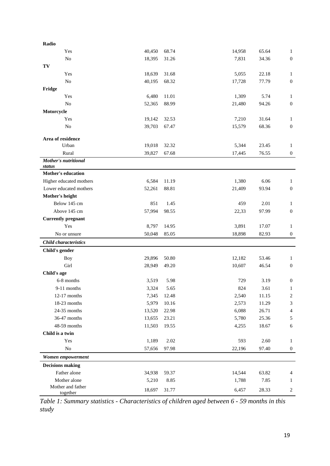| Radio                             |        |       |        |       |                          |
|-----------------------------------|--------|-------|--------|-------|--------------------------|
| Yes                               | 40,450 | 68.74 | 14,958 | 65.64 | 1                        |
| No                                | 18,395 | 31.26 | 7,831  | 34.36 | $\boldsymbol{0}$         |
| TV                                |        |       |        |       |                          |
| Yes                               | 18,639 | 31.68 | 5,055  | 22.18 | 1                        |
| No                                | 40,195 | 68.32 | 17,728 | 77.79 | $\boldsymbol{0}$         |
| Fridge                            |        |       |        |       |                          |
| Yes                               | 6,480  | 11.01 | 1,309  | 5.74  | 1                        |
| $\rm No$                          | 52,365 | 88.99 | 21,480 | 94.26 | $\boldsymbol{0}$         |
| Motorcycle                        |        |       |        |       |                          |
| Yes                               | 19,142 | 32.53 | 7,210  | 31.64 | $\mathbf{1}$             |
| $\rm No$                          | 39,703 | 67.47 | 15,579 | 68.36 | $\boldsymbol{0}$         |
| Area of residence                 |        |       |        |       |                          |
| Urban                             | 19,018 | 32.32 | 5,344  | 23.45 | $\mathbf{1}$             |
| Rural                             | 39,827 | 67.68 | 17,445 | 76.55 | $\boldsymbol{0}$         |
| <b>Mother's nutritional</b>       |        |       |        |       |                          |
| status                            |        |       |        |       |                          |
| <b>Mother's education</b>         |        |       |        |       |                          |
| Higher educated mothers           | 6,584  | 11.19 | 1,380  | 6.06  | 1                        |
| Lower educated mothers            | 52,261 | 88.81 | 21,409 | 93.94 | $\boldsymbol{0}$         |
| Mother's height                   |        |       |        |       |                          |
| Below 145 cm                      | 851    | 1.45  | 459    | 2.01  | 1                        |
| Above 145 cm                      | 57,994 | 98.55 | 22,33  | 97.99 | $\boldsymbol{0}$         |
| <b>Currently pregnant</b>         |        |       |        |       |                          |
| Yes                               | 8,797  | 14.95 | 3,891  | 17.07 | $\mathbf{1}$             |
| No or unsure                      | 50,048 | 85.05 | 18,898 | 82.93 | $\mathbf{0}$             |
| <b>Child characteristics</b>      |        |       |        |       |                          |
| Child's gender                    |        |       |        |       |                          |
| Boy                               | 29,896 | 50.80 | 12,182 | 53.46 | 1                        |
| Girl                              | 28,949 | 49.20 | 10,607 | 46.54 | $\boldsymbol{0}$         |
| Child's age                       |        |       |        |       |                          |
| 6-8 months                        | 3,519  | 5.98  | 729    | 3.19  | $\boldsymbol{0}$         |
| $9-11$ months                     | 3,324  | 5.65  | 824    | 3.61  | $\mathbf{1}$             |
| $12-17$ months                    | 7,345  | 12.48 | 2,540  | 11.15 | $\overline{\mathbf{c}}$  |
| 18-23 months                      | 5,979  | 10.16 | 2,573  | 11.29 | $\mathfrak{Z}$           |
| 24-35 months                      | 13,520 | 22.98 | 6,088  | 26.71 | $\overline{\mathcal{L}}$ |
| 36-47 months                      | 13,655 | 23.21 | 5,780  | 25.36 | $\sqrt{5}$               |
| 48-59 months                      | 11,503 | 19.55 | 4,255  | 18.67 | $\sqrt{6}$               |
| Child is a twin                   |        |       |        |       |                          |
| Yes                               | 1,189  | 2.02  | 593    | 2.60  | $\mathbf{1}$             |
| $\rm No$                          | 57,656 | 97.98 | 22,196 | 97.40 | $\boldsymbol{0}$         |
| Women empowerment                 |        |       |        |       |                          |
| <b>Decisions making</b>           |        |       |        |       |                          |
| Father alone                      | 34,938 | 59.37 | 14,544 | 63.82 | $\overline{4}$           |
| Mother alone<br>Mother and father | 5,210  | 8.85  | 1,788  | 7.85  | 1                        |
| together                          | 18,697 | 31.77 | 6,457  | 28.33 | $\overline{2}$           |

<span id="page-19-0"></span>*Table 1: Summary statistics - Characteristics of children aged between 6 - 59 months in this study*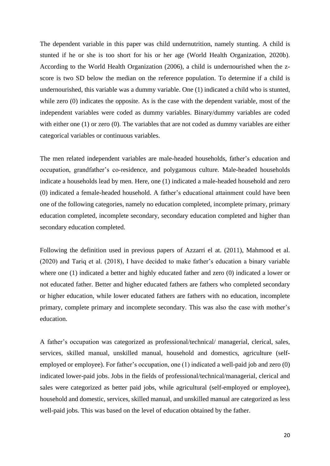The dependent variable in this paper was child undernutrition, namely stunting. A child is stunted if he or she is too short for his or her age (World Health Organization, 2020b). According to the World Health Organization (2006), a child is undernourished when the zscore is two SD below the median on the reference population. To determine if a child is undernourished, this variable was a dummy variable. One (1) indicated a child who is stunted, while zero (0) indicates the opposite. As is the case with the dependent variable, most of the independent variables were coded as dummy variables. Binary/dummy variables are coded with either one (1) or zero (0). The variables that are not coded as dummy variables are either categorical variables or continuous variables.

The men related independent variables are male-headed households, father's education and occupation, grandfather's co-residence, and polygamous culture. Male-headed households indicate a households lead by men. Here, one (1) indicated a male-headed household and zero (0) indicated a female-headed household. A father's educational attainment could have been one of the following categories, namely no education completed, incomplete primary, primary education completed, incomplete secondary, secondary education completed and higher than secondary education completed.

Following the definition used in previous papers of Azzarri el at. (2011), Mahmood et al. (2020) and Tariq et al. (2018), I have decided to make father's education a binary variable where one (1) indicated a better and highly educated father and zero (0) indicated a lower or not educated father. Better and higher educated fathers are fathers who completed secondary or higher education, while lower educated fathers are fathers with no education, incomplete primary, complete primary and incomplete secondary. This was also the case with mother's education.

A father's occupation was categorized as professional/technical/ managerial, clerical, sales, services, skilled manual, unskilled manual, household and domestics, agriculture (selfemployed or employee). For father's occupation, one (1) indicated a well-paid job and zero (0) indicated lower-paid jobs. Jobs in the fields of professional/technical/managerial, clerical and sales were categorized as better paid jobs, while agricultural (self-employed or employee), household and domestic, services, skilled manual, and unskilled manual are categorized as less well-paid jobs. This was based on the level of education obtained by the father.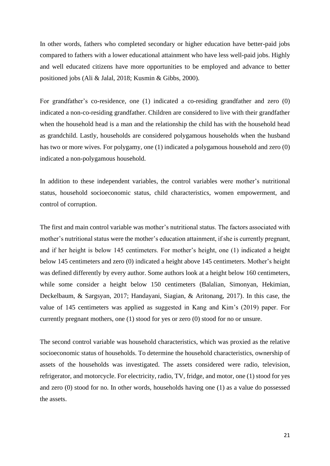In other words, fathers who completed secondary or higher education have better-paid jobs compared to fathers with a lower educational attainment who have less well-paid jobs. Highly and well educated citizens have more opportunities to be employed and advance to better positioned jobs (Ali & Jalal, 2018; Kusmin & Gibbs, 2000).

For grandfather's co-residence, one (1) indicated a co-residing grandfather and zero (0) indicated a non-co-residing grandfather. Children are considered to live with their grandfather when the household head is a man and the relationship the child has with the household head as grandchild. Lastly, households are considered polygamous households when the husband has two or more wives. For polygamy, one (1) indicated a polygamous household and zero (0) indicated a non-polygamous household.

In addition to these independent variables, the control variables were mother's nutritional status, household socioeconomic status, child characteristics, women empowerment, and control of corruption.

The first and main control variable was mother's nutritional status. The factors associated with mother's nutritional status were the mother's education attainment, if she is currently pregnant, and if her height is below 145 centimeters. For mother's height, one (1) indicated a height below 145 centimeters and zero (0) indicated a height above 145 centimeters. Mother's height was defined differently by every author. Some authors look at a height below 160 centimeters, while some consider a height below 150 centimeters (Balalian, Simonyan, Hekimian, Deckelbaum, & Sargsyan, 2017; Handayani, Siagian, & Aritonang, 2017). In this case, the value of 145 centimeters was applied as suggested in Kang and Kim's (2019) paper. For currently pregnant mothers, one (1) stood for yes or zero (0) stood for no or unsure.

The second control variable was household characteristics, which was proxied as the relative socioeconomic status of households. To determine the household characteristics, ownership of assets of the households was investigated. The assets considered were radio, television, refrigerator, and motorcycle. For electricity, radio, TV, fridge, and motor, one (1) stood for yes and zero (0) stood for no. In other words, households having one (1) as a value do possessed the assets.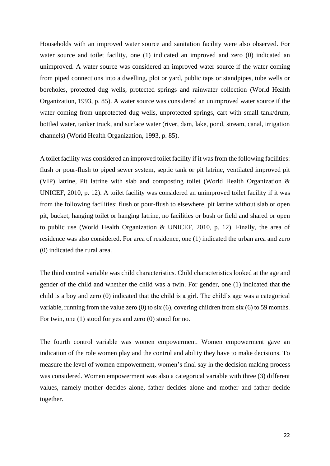Households with an improved water source and sanitation facility were also observed. For water source and toilet facility, one (1) indicated an improved and zero (0) indicated an unimproved. A water source was considered an improved water source if the water coming from piped connections into a dwelling, plot or yard, public taps or standpipes, tube wells or boreholes, protected dug wells, protected springs and rainwater collection (World Health Organization, 1993, p. 85). A water source was considered an unimproved water source if the water coming from unprotected dug wells, unprotected springs, cart with small tank/drum, bottled water, tanker truck, and surface water (river, dam, lake, pond, stream, canal, irrigation channels) (World Health Organization, 1993, p. 85).

A toilet facility was considered an improved toilet facility if it was from the following facilities: flush or pour-flush to piped sewer system, septic tank or pit latrine, ventilated improved pit (VIP) latrine, Pit latrine with slab and composting toilet (World Health Organization & UNICEF, 2010, p. 12). A toilet facility was considered an unimproved toilet facility if it was from the following facilities: flush or pour-flush to elsewhere, pit latrine without slab or open pit, bucket, hanging toilet or hanging latrine, no facilities or bush or field and shared or open to public use (World Health Organization & UNICEF, 2010, p. 12). Finally, the area of residence was also considered. For area of residence, one (1) indicated the urban area and zero (0) indicated the rural area.

The third control variable was child characteristics. Child characteristics looked at the age and gender of the child and whether the child was a twin. For gender, one (1) indicated that the child is a boy and zero (0) indicated that the child is a girl. The child's age was a categorical variable, running from the value zero (0) to six (6), covering children from six (6) to 59 months. For twin, one (1) stood for yes and zero (0) stood for no.

The fourth control variable was women empowerment. Women empowerment gave an indication of the role women play and the control and ability they have to make decisions. To measure the level of women empowerment, women's final say in the decision making process was considered. Women empowerment was also a categorical variable with three (3) different values, namely mother decides alone, father decides alone and mother and father decide together.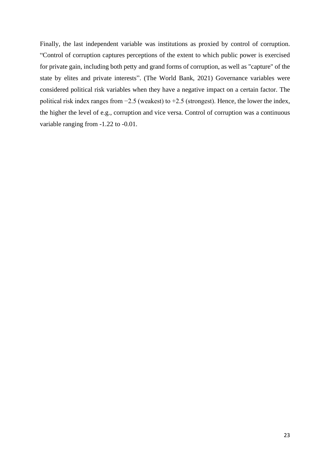Finally, the last independent variable was institutions as proxied by control of corruption. "Control of corruption captures perceptions of the extent to which public power is exercised for private gain, including both petty and grand forms of corruption, as well as "capture" of the state by elites and private interests". (The World Bank, 2021) Governance variables were considered political risk variables when they have a negative impact on a certain factor. The political risk index ranges from −2.5 (weakest) to +2.5 (strongest). Hence, the lower the index, the higher the level of e.g., corruption and vice versa. Control of corruption was a continuous variable ranging from -1.22 to -0.01.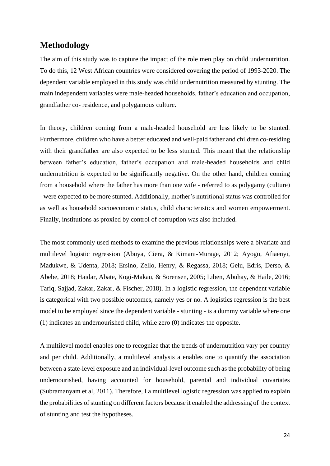## <span id="page-24-0"></span>**Methodology**

The aim of this study was to capture the impact of the role men play on child undernutrition. To do this, 12 West African countries were considered covering the period of 1993-2020. The dependent variable employed in this study was child undernutrition measured by stunting. The main independent variables were male-headed households, father's education and occupation, grandfather co- residence, and polygamous culture.

In theory, children coming from a male-headed household are less likely to be stunted. Furthermore, children who have a better educated and well-paid father and children co-residing with their grandfather are also expected to be less stunted. This meant that the relationship between father's education, father's occupation and male-headed households and child undernutrition is expected to be significantly negative. On the other hand, children coming from a household where the father has more than one wife - referred to as polygamy (culture) - were expected to be more stunted. Additionally, mother's nutritional status was controlled for as well as household socioeconomic status, child characteristics and women empowerment. Finally, institutions as proxied by control of corruption was also included.

The most commonly used methods to examine the previous relationships were a bivariate and multilevel logistic regression (Abuya, Ciera, & Kimani-Murage, 2012; Ayogu, Afiaenyi, Madukwe, & Udenta, 2018; Ersino, Zello, Henry, & Regassa, 2018; Gelu, Edris, Derso, & Abebe, 2018; Haidar, Abate, Kogi-Makau, & Sorensen, 2005; Liben, Abuhay, & Haile, 2016; Tariq, Sajjad, Zakar, Zakar, & Fischer, 2018). In a logistic regression, the dependent variable is categorical with two possible outcomes, namely yes or no. A logistics regression is the best model to be employed since the dependent variable - stunting - is a dummy variable where one (1) indicates an undernourished child, while zero (0) indicates the opposite.

A multilevel model enables one to recognize that the trends of undernutrition vary per country and per child. Additionally, a multilevel analysis a enables one to quantify the association between a state-level exposure and an individual-level outcome such as the probability of being undernourished, having accounted for household, parental and individual covariates (Subramanyam et al, 2011). Therefore, I a multilevel logistic regression was applied to explain the probabilities of stunting on different factors because it enabled the addressing of the context of stunting and test the hypotheses.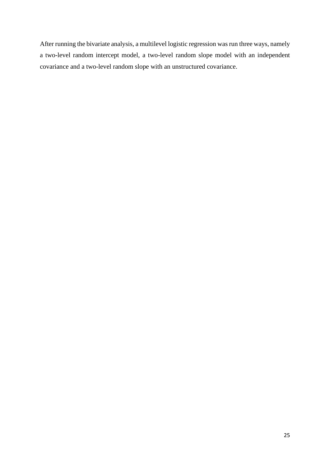After running the bivariate analysis, a multilevel logistic regression was run three ways, namely a two-level random intercept model, a two-level random slope model with an independent covariance and a two-level random slope with an unstructured covariance.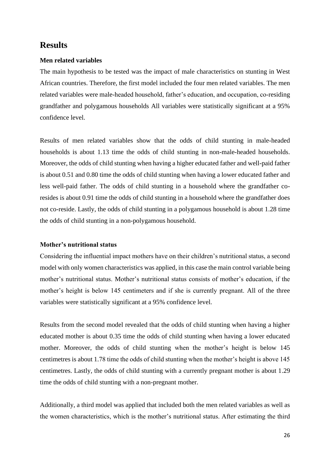## <span id="page-26-0"></span>**Results**

### <span id="page-26-1"></span>**Men related variables**

The main hypothesis to be tested was the impact of male characteristics on stunting in West African countries. Therefore, the first model included the four men related variables. The men related variables were male-headed household, father's education, and occupation, co-residing grandfather and polygamous households All variables were statistically significant at a 95% confidence level.

Results of men related variables show that the odds of child stunting in male-headed households is about 1.13 time the odds of child stunting in non-male-headed households. Moreover, the odds of child stunting when having a higher educated father and well-paid father is about 0.51 and 0.80 time the odds of child stunting when having a lower educated father and less well-paid father. The odds of child stunting in a household where the grandfather coresides is about 0.91 time the odds of child stunting in a household where the grandfather does not co-reside. Lastly, the odds of child stunting in a polygamous household is about 1.28 time the odds of child stunting in a non-polygamous household.

#### <span id="page-26-2"></span>**Mother's nutritional status**

Considering the influential impact mothers have on their children's nutritional status, a second model with only women characteristics was applied, in this case the main control variable being mother's nutritional status. Mother's nutritional status consists of mother's education, if the mother's height is below 145 centimeters and if she is currently pregnant. All of the three variables were statistically significant at a 95% confidence level.

Results from the second model revealed that the odds of child stunting when having a higher educated mother is about 0.35 time the odds of child stunting when having a lower educated mother. Moreover, the odds of child stunting when the mother's height is below 145 centimetres is about 1.78 time the odds of child stunting when the mother's height is above 145 centimetres. Lastly, the odds of child stunting with a currently pregnant mother is about 1.29 time the odds of child stunting with a non-pregnant mother.

Additionally, a third model was applied that included both the men related variables as well as the women characteristics, which is the mother's nutritional status. After estimating the third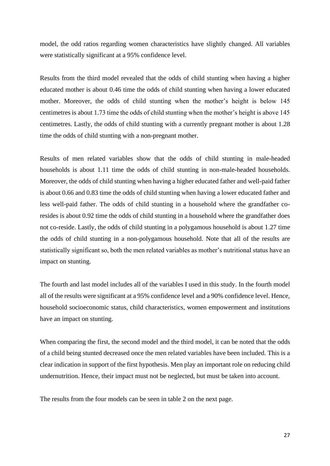model, the odd ratios regarding women characteristics have slightly changed. All variables were statistically significant at a 95% confidence level.

Results from the third model revealed that the odds of child stunting when having a higher educated mother is about 0.46 time the odds of child stunting when having a lower educated mother. Moreover, the odds of child stunting when the mother's height is below 145 centimetres is about 1.73 time the odds of child stunting when the mother's height is above 145 centimetres. Lastly, the odds of child stunting with a currently pregnant mother is about 1.28 time the odds of child stunting with a non-pregnant mother.

Results of men related variables show that the odds of child stunting in male-headed households is about 1.11 time the odds of child stunting in non-male-headed households. Moreover, the odds of child stunting when having a higher educated father and well-paid father is about 0.66 and 0.83 time the odds of child stunting when having a lower educated father and less well-paid father. The odds of child stunting in a household where the grandfather coresides is about 0.92 time the odds of child stunting in a household where the grandfather does not co-reside. Lastly, the odds of child stunting in a polygamous household is about 1.27 time the odds of child stunting in a non-polygamous household. Note that all of the results are statistically significant so, both the men related variables as mother's nutritional status have an impact on stunting.

The fourth and last model includes all of the variables I used in this study. In the fourth model all of the results were significant at a 95% confidence level and a 90% confidence level. Hence, household socioeconomic status, child characteristics, women empowerment and institutions have an impact on stunting.

When comparing the first, the second model and the third model, it can be noted that the odds of a child being stunted decreased once the men related variables have been included. This is a clear indication in support of the first hypothesis. Men play an important role on reducing child undernutrition. Hence, their impact must not be neglected, but must be taken into account.

The results from the four models can be seen in table 2 on the next page.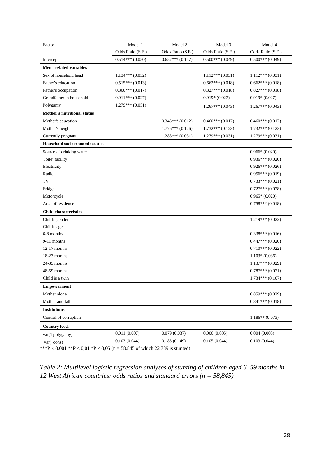| Factor                             | Model 1            | Model 2           | Model 3           | Model 4           |
|------------------------------------|--------------------|-------------------|-------------------|-------------------|
|                                    | Odds Ratio (S.E.)  | Odds Ratio (S.E.) | Odds Ratio (S.E.) | Odds Ratio (S.E.) |
| Intercept                          | $0.514***(0.050)$  | $0.657***(0.147)$ | $0.500***(0.049)$ | $0.500***(0.049)$ |
| Men - related variables            |                    |                   |                   |                   |
| Sex of household head              | $1.134***$ (0.032) |                   | $1.112***(0.031)$ | $1.112***(0.031)$ |
| Father's education                 | $0.515***(0.013)$  |                   | $0.662***(0.018)$ | $0.662***(0.018)$ |
| Father's occupation                | $0.800***(0.017)$  |                   | $0.827***(0.018)$ | $0.827***(0.018)$ |
| Grandfather in household           | $0.911***(0.027)$  |                   | $0.919*(0.027)$   | $0.919*(0.027)$   |
| Polygamy                           | $1.279***(0.051)$  |                   | $1.267***(0.043)$ | $1.267***(0.043)$ |
| <b>Mother's nutritional status</b> |                    |                   |                   |                   |
| Mother's education                 |                    | $0.345***(0.012)$ | $0.460***(0.017)$ | $0.460***(0.017)$ |
| Mother's height                    |                    | $1.776***(0.126)$ | $1.732***(0.123)$ | $1.732***(0.123)$ |
| Currently pregnant                 |                    | $1.288***(0.031)$ | $1.279***(0.031)$ | $1.279***(0.031)$ |
| Household socioeconomic status     |                    |                   |                   |                   |
| Source of drinking water           |                    |                   |                   | $0.966*(0.020)$   |
| Toilet facility                    |                    |                   |                   | $0.936***(0.020)$ |
| Electricity                        |                    |                   |                   | $0.926***(0.026)$ |
| Radio                              |                    |                   |                   | $0.956***(0.019)$ |
| TV                                 |                    |                   |                   | $0.733***(0.021)$ |
| Fridge                             |                    |                   |                   | $0.727***(0.028)$ |
| Motorcycle                         |                    |                   |                   | $0.965*(0.020)$   |
| Area of residence                  |                    |                   |                   | $0.758***(0.018)$ |
| <b>Child characteristics</b>       |                    |                   |                   |                   |
| Child's gender                     |                    |                   |                   | $1.219***(0.022)$ |
| Child's age                        |                    |                   |                   |                   |
| 6-8 months                         |                    |                   |                   | $0.338***(0.016)$ |
| 9-11 months                        |                    |                   |                   | $0.447***(0.020)$ |
| $12-17$ months                     |                    |                   |                   | $0.710***(0.022)$ |
| 18-23 months                       |                    |                   |                   | $1.103*(0.036)$   |
| 24-35 months                       |                    |                   |                   | $1.137***(0.029)$ |
| 48-59 months                       |                    |                   |                   | $0.787***(0.021)$ |
| Child is a twin                    |                    |                   |                   | $1.734***(0.107)$ |
| <b>Empowerment</b>                 |                    |                   |                   |                   |
| Mother alone                       |                    |                   |                   | $0.859***(0.029)$ |
| Mother and father                  |                    |                   |                   | $0.841***(0.018)$ |
| <b>Institutions</b>                |                    |                   |                   |                   |
| Control of corruption              |                    |                   |                   | $1.186**$ (0.073) |
| <b>Country level</b>               |                    |                   |                   |                   |
| var(1.polygamy)                    | 0.011(0.007)       | 0.079(0.037)      | 0.006(0.005)      | 0.004(0.003)      |
| $var(\_cons)$                      | 0.103(0.044)       | 0.185(0.149)      | 0.105(0.044)      | 0.103(0.044)      |

\*\*\*P < 0,001 \*\*P < 0,01 \*P < 0,05 (n = 58,845 of which 22,789 is stunted)

<span id="page-28-0"></span>*Table 2: Multilevel logistic regression analyses of stunting of children aged 6–59 months in 12 West African countries: odds ratios and standard errors (n = 58,845)*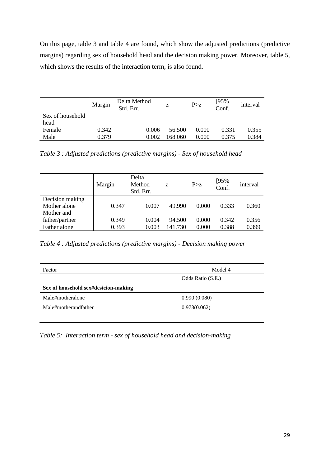On this page, table 3 and table 4 are found, which show the adjusted predictions (predictive margins) regarding sex of household head and the decision making power. Moreover, table 5, which shows the results of the interaction term, is also found.

|                  | Margin | Delta Method<br>Std. Err. | Z      | P > z | $[95%$<br>Conf. | interval |
|------------------|--------|---------------------------|--------|-------|-----------------|----------|
| Sex of household |        |                           |        |       |                 |          |
| head             |        |                           |        |       |                 |          |
| Female           | 0.342  | 0.006                     | 56.500 | 0.000 | 0.331           | 0.355    |
| Male             | 0.379  | 0.002                     | 68,060 | 0.000 | 0.375           | 0.384    |

<span id="page-29-0"></span>*Table 3 : Adjusted predictions (predictive margins) - Sex of household head*

|                 | Margin | Delta<br>Method<br>Std. Err. | Z       | P > z | [95%<br>Conf. | interval |
|-----------------|--------|------------------------------|---------|-------|---------------|----------|
| Decision making |        |                              |         |       |               |          |
| Mother alone    | 0.347  | 0.007                        | 49.990  | 0.000 | 0.333         | 0.360    |
| Mother and      |        |                              |         |       |               |          |
| father/partner  | 0.349  | 0.004                        | 94.500  | 0.000 | 0.342         | 0.356    |
| Father alone    | 0.393  | 0.003                        | 141.730 | 0.000 | 0.388         | 0.399    |

<span id="page-29-1"></span>*Table 4 : Adjusted predictions (predictive margins) - Decision making power*

| Factor                               | Model 4           |
|--------------------------------------|-------------------|
|                                      | Odds Ratio (S.E.) |
| Sex of household sex#desicion-making |                   |
| Male#motheralone                     | 0.990(0.080)      |
| Male#motherandfather                 | 0.973(0.062)      |
|                                      |                   |

<span id="page-29-2"></span>*Table 5: Interaction term - sex of household head and decision-making*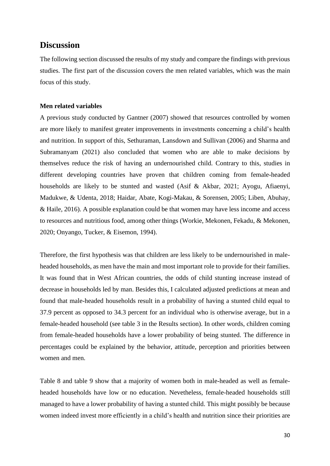## <span id="page-30-0"></span>**Discussion**

The following section discussed the results of my study and compare the findings with previous studies. The first part of the discussion covers the men related variables, which was the main focus of this study.

## <span id="page-30-1"></span>**Men related variables**

A previous study conducted by Gantner (2007) showed that resources controlled by women are more likely to manifest greater improvements in investments concerning a child's health and nutrition. In support of this, Sethuraman, Lansdown and Sullivan (2006) and Sharma and Subramanyam (2021) also concluded that women who are able to make decisions by themselves reduce the risk of having an undernourished child. Contrary to this, studies in different developing countries have proven that children coming from female-headed households are likely to be stunted and wasted (Asif & Akbar, 2021; Ayogu, Afiaenyi, Madukwe, & Udenta, 2018; Haidar, Abate, Kogi-Makau, & Sorensen, 2005; Liben, Abuhay, & Haile, 2016). A possible explanation could be that women may have less income and access to resources and nutritious food, among other things (Workie, Mekonen, Fekadu, & Mekonen, 2020; Onyango, Tucker, & Eisemon, 1994).

Therefore, the first hypothesis was that children are less likely to be undernourished in maleheaded households, as men have the main and most important role to provide for their families. It was found that in West African countries, the odds of child stunting increase instead of decrease in households led by man. Besides this, I calculated adjusted predictions at mean and found that male-headed households result in a probability of having a stunted child equal to 37.9 percent as opposed to 34.3 percent for an individual who is otherwise average, but in a female-headed household (see table 3 in the [Results](#page-26-0) section). In other words, children coming from female-headed households have a lower probability of being stunted. The difference in percentages could be explained by the behavior, attitude, perception and priorities between women and men.

Table 8 and table 9 show that a majority of women both in male-headed as well as femaleheaded households have low or no education. Nevetheless, female-headed households still managed to have a lower probability of having a stunted child. This might possibly be because women indeed invest more efficiently in a child's health and nutrition since their priorities are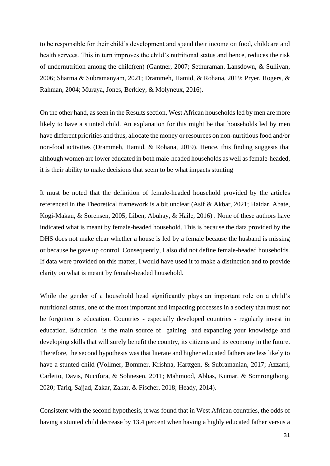to be responsible for their child's development and spend their income on food, childcare and health servces. This in turn improves the child's nutritional status and hence, reduces the risk of undernutrition among the child(ren) (Gantner, 2007; Sethuraman, Lansdown, & Sullivan, 2006; Sharma & Subramanyam, 2021; Drammeh, Hamid, & Rohana, 2019; Pryer, Rogers, & Rahman, 2004; Muraya, Jones, Berkley, & Molyneux, 2016).

On the other hand, as seen in the [Results](#page-26-0) section, West African households led by men are more likely to have a stunted child. An explanation for this might be that households led by men have different priorities and thus, allocate the money or resources on non-nurtitious food and/or non-food activities (Drammeh, Hamid, & Rohana, 2019). Hence, this finding suggests that although women are lower educated in both male-headed households as well as female-headed, it is their ability to make decisions that seem to be what impacts stunting

It must be noted that the definition of female-headed household provided by the articles referenced in the [Theoretical framework](#page-8-0) is a bit unclear (Asif & Akbar, 2021; Haidar, Abate, Kogi-Makau, & Sorensen, 2005; Liben, Abuhay, & Haile, 2016) . None of these authors have indicated what is meant by female-headed household. This is because the data provided by the DHS does not make clear whether a house is led by a female because the husband is missing or because he gave up control. Consequently, I also did not define female-headed households. If data were provided on this matter, I would have used it to make a distinction and to provide clarity on what is meant by female-headed household.

While the gender of a household head significantly plays an important role on a child's nutritional status, one of the most important and impacting processes in a society that must not be forgotten is education. Countries - especially developed countries - regularly invest in education. Education is the main source of gaining and expanding your knowledge and developing skills that will surely benefit the country, its citizens and its economy in the future. Therefore, the second hypothesis was that literate and higher educated fathers are less likely to have a stunted child (Vollmer, Bommer, Krishna, Harttgen, & Subramanian, 2017; Azzarri, Carletto, Davis, Nucifora, & Sohnesen, 2011; Mahmood, Abbas, Kumar, & Somrongthong, 2020; Tariq, Sajjad, Zakar, Zakar, & Fischer, 2018; Heady, 2014).

Consistent with the second hypothesis, it was found that in West African countries, the odds of having a stunted child decrease by 13.4 percent when having a highly educated father versus a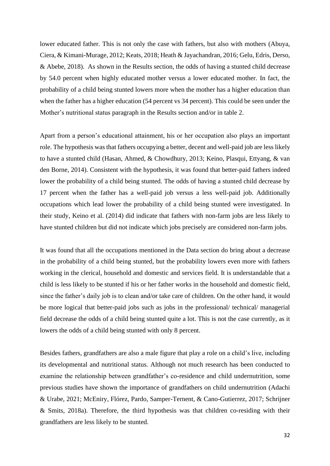lower educated father. This is not only the case with fathers, but also with mothers (Abuya, Ciera, & Kimani-Murage, 2012; Keats, 2018; Heath & Jayachandran, 2016; Gelu, Edris, Derso, & Abebe, 2018). As shown in the [Results](#page-26-0) section, the odds of having a stunted child decrease by 54.0 percent when highly educated mother versus a lower educated mother. In fact, the probability of a child being stunted lowers more when the mother has a higher education than when the father has a higher education (54 percent vs 34 percent). This could be seen under the [Mother's nutritional status](#page-26-2) paragraph in the [Results](#page-26-0) section and/or in table 2.

Apart from a person's educational attainment, his or her occupation also plays an important role. The hypothesis was that fathers occupying a better, decent and well-paid job are less likely to have a stunted child (Hasan, Ahmed, & Chowdhury, 2013; Keino, Plasqui, Ettyang, & van den Borne, 2014). Consistent with the hypothesis, it was found that better-paid fathers indeed lower the probability of a child being stunted. The odds of having a stunted child decrease by 17 percent when the father has a well-paid job versus a less well-paid job. Additionally occupations which lead lower the probability of a child being stunted were investigated. In their study, Keino et al. (2014) did indicate that fathers with non-farm jobs are less likely to have stunted children but did not indicate which jobs precisely are considered non-farm jobs.

It was found that all the occupations mentioned in the [Data](#page-17-0) section do bring about a decrease in the probability of a child being stunted, but the probability lowers even more with fathers working in the clerical, household and domestic and services field. It is understandable that a child is less likely to be stunted if his or her father works in the household and domestic field, since the father's daily job is to clean and/or take care of children. On the other hand, it would be more logical that better-paid jobs such as jobs in the professional/ technical/ managerial field decrease the odds of a child being stunted quite a lot. This is not the case currently, as it lowers the odds of a child being stunted with only 8 percent.

Besides fathers, grandfathers are also a male figure that play a role on a child's live, including its developmental and nutritional status. Although not much research has been conducted to examine the relationship between grandfather's co-residence and child undernutrition, some previous studies have shown the importance of grandfathers on child undernutrition (Adachi & Urabe, 2021; McEniry, Flórez, Pardo, Samper-Ternent, & Cano-Gutierrez, 2017; Schrijner & Smits, 2018a). Therefore, the third hypothesis was that children co-residing with their grandfathers are less likely to be stunted.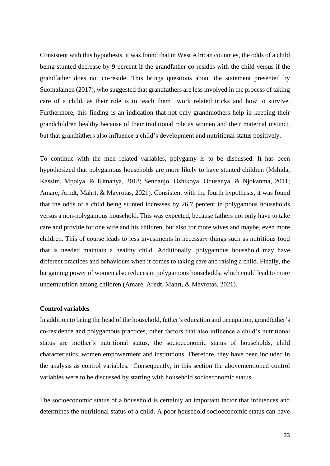Consistent with this hypothesis, it was found that in West African countries, the odds of a child being stunted decrease by 9 percent if the grandfather co-resides with the child versus if the grandfather does not co-reside. This brings questions about the statement presented by Suomalainen (2017), who suggested that grandfathers are less involved in the process of taking care of a child, as their role is to teach them work related tricks and how to survive. Furthermore, this finding is an indication that not only grandmothers help in keeping their grandchildren healthy because of their traditional role as women and their maternal instinct, but that grandfathers also influence a child's development and nutritional status positively.

To continue with the men related variables, polygamy is to be discussed. It has been hypothesized that polygamous households are more likely to have stunted children (Mshida, Kassim, Mpolya, & Kimanya, 2018; Senbanjo, Oshikoya, Odusanya, & Njokanma, 2011; Amare, Arndt, Mahrt, & Mavrotas, 2021). Consistent with the fourth hypothesis, it was found that the odds of a child being stunted increases by 26.7 percent in polygamous households versus a non-polygamous household. This was expected, because fathers not only have to take care and provide for one wife and his children, but also for more wives and maybe, even more children. This of course leads to less investments in necessary things such as nutritious food that is needed maintain a healthy child. Additionally, polygamous household may have different practices and behaviours when it comes to taking care and raising a child. Finally, the bargaining power of women also reduces in polygamous households, which could lead to more undernutrition among children (Amare, Arndt, Mahrt, & Mavrotas, 2021).

#### <span id="page-33-0"></span>**Control variables**

In addition to being the head of the household, father's education and occupation, grandfather's co-residence and polygamous practices, other factors that also influence a child's nutritional status are mother's nutritional status, the socioeconomic status of households, child characteristics, women empowerment and institutions. Therefore, they have been included in the analysis as control variables. Consequently, in this section the abovementioned control variables were to be discussed by starting with household socioeconomic status.

The socioeconomic status of a household is certainly an important factor that influences and determines the nutritional status of a child. A poor household socioeconomic status can have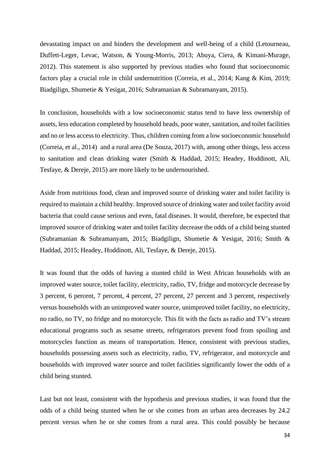devastating impact on and hinders the development and well-being of a child (Letourneau, Duffett-Leger, Levac, Watson, & Young-Morris, 2013; Abuya, Ciera, & Kimani-Murage, 2012). This statement is also supported by previous studies who found that socioeconomic factors play a crucial role in child undernutrition (Correia, et al., 2014; Kang & Kim, 2019; Biadgilign, Shumetie & Yesigat, 2016; Subramanian & Subramanyam, 2015).

In conclusion, households with a low socioeconomic status tend to have less ownership of assets, less education completed by household heads, poor water, sanitation, and toilet facilities and no or less access to electricity. Thus, children coming from a low socioeconomic household (Correia, et al., 2014) and a rural area (De Souza, 2017) with, among other things, less access to sanitation and clean drinking water (Smith & Haddad, 2015; Headey, Hoddinott, Ali, Tesfaye, & Dereje, 2015) are more likely to be undernourished.

Aside from nutritious food, clean and improved source of drinking water and toilet facility is required to maintain a child healthy. Improved source of drinking water and toilet facility avoid bacteria that could cause serious and even, fatal diseases. It would, therefore, be expected that improved source of drinking water and toilet facility decrease the odds of a child being stunted (Subramanian & Subramanyam, 2015; Biadgilign, Shumetie & Yesigat, 2016; Smith & Haddad, 2015; Headey, Hoddinott, Ali, Tesfaye, & Dereje, 2015).

It was found that the odds of having a stunted child in West African households with an improved water source, toilet facility, electricity, radio, TV, fridge and motorcycle decrease by 3 percent, 6 percent, 7 percent, 4 percent, 27 percent, 27 percent and 3 percent, respectively versus households with an unimproved water source, unimproved toilet facility, no electricity, no radio, no TV, no fridge and no motorcycle. This fit with the facts as radio and TV's stream educational programs such as sesame streets, refrigerators prevent food from spoiling and motorcycles function as means of transportation. Hence, consistent with previous studies, households possessing assets such as electricity, radio, TV, refrigerator, and motorcycle and households with improved water source and toilet facilities significantly lower the odds of a child being stunted.

Last but not least, consistent with the hypothesis and previous studies, it was found that the odds of a child being stunted when he or she comes from an urban area decreases by 24.2 percent versus when he or she comes from a rural area. This could possibly be because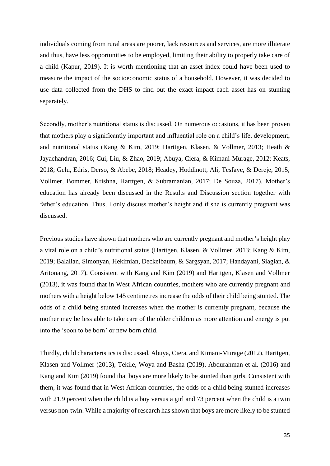individuals coming from rural areas are poorer, lack resources and services, are more illiterate and thus, have less opportunities to be employed, limiting their ability to properly take care of a child (Kapur, 2019). It is worth mentioning that an asset index could have been used to measure the impact of the socioeconomic status of a household. However, it was decided to use data collected from the DHS to find out the exact impact each asset has on stunting separately.

Secondly, mother's nutritional status is discussed. On numerous occasions, it has been proven that mothers play a significantly important and influential role on a child's life, development, and nutritional status (Kang & Kim, 2019; Harttgen, Klasen, & Vollmer, 2013; Heath & Jayachandran, 2016; Cui, Liu, & Zhao, 2019; Abuya, Ciera, & Kimani-Murage, 2012; Keats, 2018; Gelu, Edris, Derso, & Abebe, 2018; Headey, Hoddinott, Ali, Tesfaye, & Dereje, 2015; Vollmer, Bommer, Krishna, Harttgen, & Subramanian, 2017; De Souza, 2017). Mother's education has already been discussed in the [Results](#page-26-0) and [Discussion](#page-30-0) section together with father's education. Thus, I only discuss mother's height and if she is currently pregnant was discussed.

Previous studies have shown that mothers who are currently pregnant and mother's height play a vital role on a child's nutritional status (Harttgen, Klasen, & Vollmer, 2013; Kang & Kim, 2019; Balalian, Simonyan, Hekimian, Deckelbaum, & Sargsyan, 2017; Handayani, Siagian, & Aritonang, 2017). Consistent with Kang and Kim (2019) and Harttgen, Klasen and Vollmer (2013), it was found that in West African countries, mothers who are currently pregnant and mothers with a height below 145 centimetres increase the odds of their child being stunted. The odds of a child being stunted increases when the mother is currently pregnant, because the mother may be less able to take care of the older children as more attention and energy is put into the 'soon to be born' or new born child.

Thirdly, child characteristics is discussed. Abuya, Ciera, and Kimani-Murage (2012), Harttgen, Klasen and Vollmer (2013), Tekile, Woya and Basha (2019), Abdurahman et al. (2016) and Kang and Kim (2019) found that boys are more likely to be stunted than girls. Consistent with them, it was found that in West African countries, the odds of a child being stunted increases with 21.9 percent when the child is a boy versus a girl and 73 percent when the child is a twin versus non-twin. While a majority of research has shown that boys are more likely to be stunted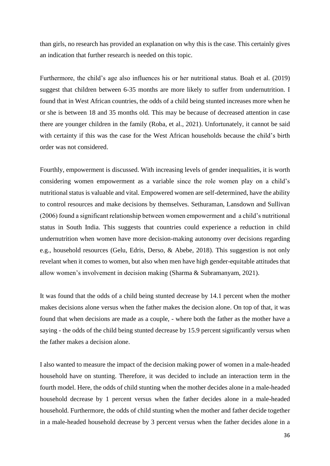than girls, no research has provided an explanation on why this is the case. This certainly gives an indication that further research is needed on this topic.

Furthermore, the child's age also influences his or her nutritional status. Boah et al. (2019) suggest that children between 6-35 months are more likely to suffer from undernutrition. I found that in West African countries, the odds of a child being stunted increases more when he or she is between 18 and 35 months old. This may be because of decreased attention in case there are younger children in the family (Roba, et al., 2021). Unfortunately, it cannot be said with certainty if this was the case for the West African households because the child's birth order was not considered.

Fourthly, empowerment is discussed. With increasing levels of gender inequalities, it is worth considering women empowerment as a variable since the role women play on a child's nutritional status is valuable and vital. Empowered women are self-determined, have the ability to control resources and make decisions by themselves. Sethuraman, Lansdown and Sullivan (2006) found a significant relationship between women empowerment and a child's nutritional status in South India. This suggests that countries could experience a reduction in child undernutrition when women have more decision-making autonomy over decisions regarding e.g., household resources (Gelu, Edris, Derso, & Abebe, 2018). This suggestion is not only revelant when it comes to women, but also when men have high gender-equitable attitudes that allow women's involvement in decision making (Sharma & Subramanyam, 2021).

It was found that the odds of a child being stunted decrease by 14.1 percent when the mother makes decisions alone versus when the father makes the decision alone. On top of that, it was found that when decisions are made as a couple, - where both the father as the mother have a saying - the odds of the child being stunted decrease by 15.9 percent significantly versus when the father makes a decision alone.

I also wanted to measure the impact of the decision making power of women in a male-headed household have on stunting. Therefore, it was decided to include an interaction term in the fourth model. Here, the odds of child stunting when the mother decides alone in a male-headed household decrease by 1 percent versus when the father decides alone in a male-headed household. Furthermore, the odds of child stunting when the mother and father decide together in a male-headed household decrease by 3 percent versus when the father decides alone in a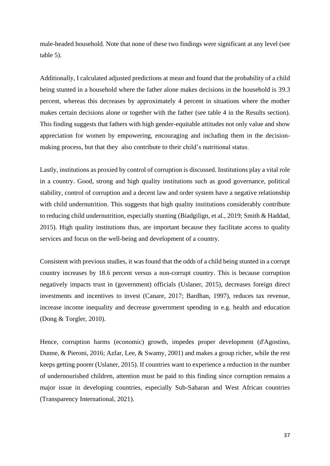male-headed household. Note that none of these two findings were significant at any level (see table 5).

Additionally, I calculated adjusted predictions at mean and found that the probability of a child being stunted in a household where the father alone makes decisions in the household is 39.3 percent, whereas this decreases by approximately 4 percent in situations where the mother makes certain decisions alone or together with the father (see table 4 in the [Results](#page-26-0) section). This finding suggests that fathers with high gender-equitable attitudes not only value and show appreciation for women by empowering, encouraging and including them in the decisionmaking process, but that they also contribute to their child's nutritional status.

Lastly, institutions as proxied by control of corruption is discussed. Institutions play a vital role in a country. Good, strong and high quality institutions such as good governance, political stability, control of corruption and a decent law and order system have a negative relationship with child undernutrition. This suggests that high quality institutions considerably contribute to reducing child undernutrition, especially stunting (Biadgilign, et al., 2019; Smith & Haddad, 2015). High quality institutions thus, are important because they facilitate access to quality services and focus on the well-being and development of a country.

Consistent with previous studies, it was found that the odds of a child being stunted in a corrupt country increases by 18.6 percent versus a non-corrupt country. This is because corruption negatively impacts trust in (government) officials (Uslaner, 2015), decreases foreign direct investments and incentives to invest (Canare, 2017; Bardhan, 1997), reduces tax revenue, increase income inequality and decrease government spending in e.g. health and education (Dong & Torgler, 2010).

Hence, corruption harms (economic) growth, impedes proper development (d'Agostino, Dunne, & Pieroni, 2016; Azfar, Lee, & Swamy, 2001) and makes a group richer, while the rest keeps getting poorer (Uslaner, 2015). If countries want to experience a reduction in the number of undernourished children, attention must be paid to this finding since corruption remains a major issue in developing countries, especially Sub-Saharan and West African countries (Transparency International, 2021).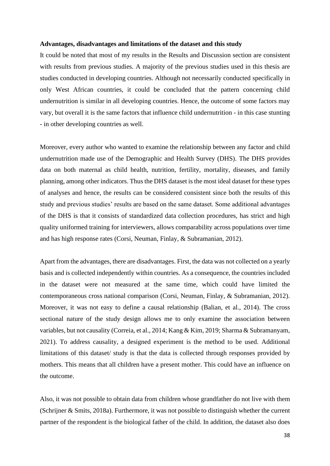#### <span id="page-38-0"></span>**Advantages, disadvantages and limitations of the dataset and this study**

It could be noted that most of my results in the [Results](#page-26-0) and [Discussion](#page-30-0) section are consistent with results from previous studies. A majority of the previous studies used in this thesis are studies conducted in developing countries. Although not necessarily conducted specifically in only West African countries, it could be concluded that the pattern concerning child undernutrition is similar in all developing countries. Hence, the outcome of some factors may vary, but overall it is the same factors that influence child undernutrition - in this case stunting - in other developing countries as well.

Moreover, every author who wanted to examine the relationship between any factor and child undernutrition made use of the Demographic and Health Survey (DHS). The DHS provides data on both maternal as child health, nutrition, fertility, mortality, diseases, and family planning, among other indicators. Thus the DHS dataset is the most ideal dataset for these types of analyses and hence, the results can be considered consistent since both the results of this study and previous studies' results are based on the same dataset. Some additional advantages of the DHS is that it consists of standardized data collection procedures, has strict and high quality uniformed training for interviewers, allows comparability across populations over time and has high response rates (Corsi, Neuman, Finlay, & Subramanian, 2012).

Apart from the advantages, there are disadvantages. First, the data was not collected on a yearly basis and is collected independently within countries. As a consequence, the countries included in the dataset were not measured at the same time, which could have limited the contemporaneous cross national comparison (Corsi, Neuman, Finlay, & Subramanian, 2012). Moreover, it was not easy to define a causal relationship (Balian, et al., 2014). The cross sectional nature of the study design allows me to only examine the association between variables, but not causality (Correia, et al., 2014; Kang & Kim, 2019; Sharma & Subramanyam, 2021). To address causality, a designed experiment is the method to be used. Additional limitations of this dataset/ study is that the data is collected through responses provided by mothers. This means that all children have a present mother. This could have an influence on the outcome.

Also, it was not possible to obtain data from children whose grandfather do not live with them (Schrijner & Smits, 2018a). Furthermore, it was not possible to distinguish whether the current partner of the respondent is the biological father of the child. In addition, the dataset also does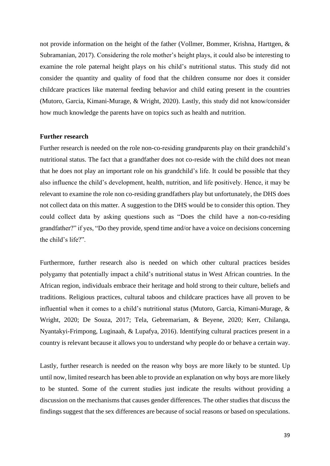not provide information on the height of the father (Vollmer, Bommer, Krishna, Harttgen, & Subramanian, 2017). Considering the role mother's height plays, it could also be interesting to examine the role paternal height plays on his child's nutritional status. This study did not consider the quantity and quality of food that the children consume nor does it consider childcare practices like maternal feeding behavior and child eating present in the countries (Mutoro, Garcia, Kimani-Murage, & Wright, 2020). Lastly, this study did not know/consider how much knowledge the parents have on topics such as health and nutrition.

#### <span id="page-39-0"></span>**Further research**

Further research is needed on the role non-co-residing grandparents play on their grandchild's nutritional status. The fact that a grandfather does not co-reside with the child does not mean that he does not play an important role on his grandchild's life. It could be possible that they also influence the child's development, health, nutrition, and life positively. Hence, it may be relevant to examine the role non co-residing grandfathers play but unfortunately, the DHS does not collect data on this matter. A suggestion to the DHS would be to consider this option. They could collect data by asking questions such as "Does the child have a non-co-residing grandfather?" if yes, "Do they provide, spend time and/or have a voice on decisions concerning the child's life?".

Furthermore, further research also is needed on which other cultural practices besides polygamy that potentially impact a child's nutritional status in West African countries. In the African region, individuals embrace their heritage and hold strong to their culture, beliefs and traditions. Religious practices, cultural taboos and childcare practices have all proven to be influential when it comes to a child's nutritional status (Mutoro, Garcia, Kimani-Murage, & Wright, 2020; De Souza, 2017; Tela, Gebremariam, & Beyene, 2020; Kerr, Chilanga, Nyantakyi-Frimpong, Luginaah, & Lupafya, 2016). Identifying cultural practices present in a country is relevant because it allows you to understand why people do or behave a certain way.

Lastly, further research is needed on the reason why boys are more likely to be stunted. Up until now, limited research has been able to provide an explanation on why boys are more likely to be stunted. Some of the current studies just indicate the results without providing a discussion on the mechanisms that causes gender differences. The other studies that discuss the findings suggest that the sex differences are because of social reasons or based on speculations.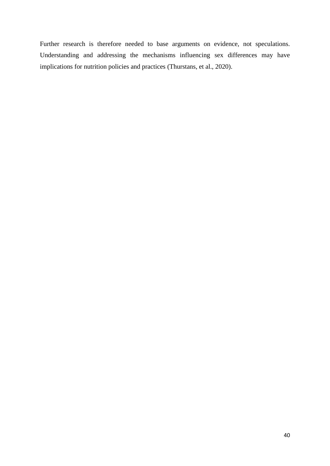Further research is therefore needed to base arguments on evidence, not speculations. Understanding and addressing the mechanisms influencing sex differences may have implications for nutrition policies and practices (Thurstans, et al., 2020).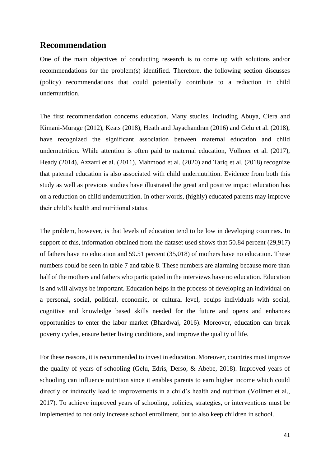## <span id="page-41-0"></span>**Recommendation**

One of the main objectives of conducting research is to come up with solutions and/or recommendations for the problem(s) identified. Therefore, the following section discusses (policy) recommendations that could potentially contribute to a reduction in child undernutrition.

The first recommendation concerns education. Many studies, including Abuya, Ciera and Kimani-Murage (2012), Keats (2018), Heath and Jayachandran (2016) and Gelu et al. (2018), have recognized the significant association between maternal education and child undernutrition. While attention is often paid to maternal education, Vollmer et al. (2017), Heady (2014), Azzarri et al. (2011), Mahmood et al. (2020) and Tariq et al. (2018) recognize that paternal education is also associated with child undernutrition. Evidence from both this study as well as previous studies have illustrated the great and positive impact education has on a reduction on child undernutrition. In other words, (highly) educated parents may improve their child's health and nutritional status.

The problem, however, is that levels of education tend to be low in developing countries. In support of this, information obtained from the dataset used shows that 50.84 percent (29,917) of fathers have no education and 59.51 percent (35,018) of mothers have no education. These numbers could be seen in table 7 and table 8. These numbers are alarming because more than half of the mothers and fathers who participated in the interviews have no education. Education is and will always be important. Education helps in the process of developing an individual on a personal, social, political, economic, or cultural level, equips individuals with social, cognitive and knowledge based skills needed for the future and opens and enhances opportunities to enter the labor market (Bhardwaj, 2016). Moreover, education can break poverty cycles, ensure better living conditions, and improve the quality of life.

For these reasons, it is recommended to invest in education. Moreover, countries must improve the quality of years of schooling (Gelu, Edris, Derso, & Abebe, 2018). Improved years of schooling can influence nutrition since it enables parents to earn higher income which could directly or indirectly lead to improvements in a child's health and nutrition (Vollmer et al., 2017). To achieve improved years of schooling, policies, strategies, or interventions must be implemented to not only increase school enrollment, but to also keep children in school.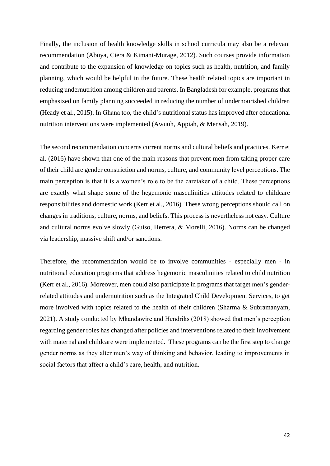Finally, the inclusion of health knowledge skills in school curricula may also be a relevant recommendation (Abuya, Ciera & Kimani-Murage, 2012). Such courses provide information and contribute to the expansion of knowledge on topics such as health, nutrition, and family planning, which would be helpful in the future. These health related topics are important in reducing undernutrition among children and parents. In Bangladesh for example, programs that emphasized on family planning succeeded in reducing the number of undernourished children (Heady et al., 2015). In Ghana too, the child's nutritional status has improved after educational nutrition interventions were implemented (Awuuh, Appiah, & Mensah, 2019).

The second recommendation concerns current norms and cultural beliefs and practices. Kerr et al. (2016) have shown that one of the main reasons that prevent men from taking proper care of their child are gender constriction and norms, culture, and community level perceptions. The main perception is that it is a women's role to be the caretaker of a child. These perceptions are exactly what shape some of the hegemonic masculinities attitudes related to childcare responsibilities and domestic work (Kerr et al., 2016). These wrong perceptions should call on changes in traditions, culture, norms, and beliefs. This process is nevertheless not easy. Culture and cultural norms evolve slowly (Guiso, Herrera, & Morelli, 2016). Norms can be changed via leadership, massive shift and/or sanctions.

Therefore, the recommendation would be to involve communities - especially men - in nutritional education programs that address hegemonic masculinities related to child nutrition (Kerr et al., 2016). Moreover, men could also participate in programs that target men's genderrelated attitudes and undernutrition such as the Integrated Child Development Services, to get more involved with topics related to the health of their children (Sharma & Subramanyam, 2021). A study conducted by Mkandawire and Hendriks (2018) showed that men's perception regarding gender roles has changed after policies and interventions related to their involvement with maternal and childcare were implemented. These programs can be the first step to change gender norms as they alter men's way of thinking and behavior, leading to improvements in social factors that affect a child's care, health, and nutrition.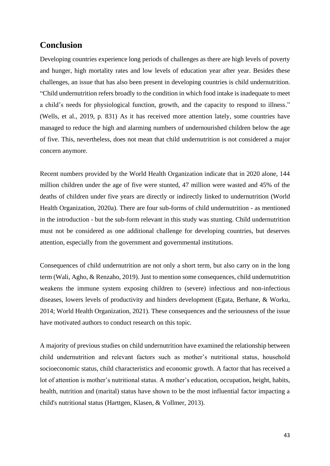## <span id="page-43-0"></span>**Conclusion**

Developing countries experience long periods of challenges as there are high levels of poverty and hunger, high mortality rates and low levels of education year after year. Besides these challenges, an issue that has also been present in developing countries is child undernutrition. "Child undernutrition refers broadly to the condition in which food intake is inadequate to meet a child's needs for physiological function, growth, and the capacity to respond to illness." (Wells, et al., 2019, p. 831) As it has received more attention lately, some countries have managed to reduce the high and alarming numbers of undernourished children below the age of five. This, nevertheless, does not mean that child undernutrition is not considered a major concern anymore.

Recent numbers provided by the World Health Organization indicate that in 2020 alone, 144 million children under the age of five were stunted, 47 million were wasted and 45% of the deaths of children under five years are directly or indirectly linked to undernutrition (World Health Organization, 2020a). There are four sub-forms of child undernutrition - as mentioned in the introduction - but the sub-form relevant in this study was stunting. Child undernutrition must not be considered as one additional challenge for developing countries, but deserves attention, especially from the government and governmental institutions.

Consequences of child undernutrition are not only a short term, but also carry on in the long term (Wali, Agho, & Renzaho, 2019). Just to mention some consequences, child undernutrition weakens the immune system exposing children to (severe) infectious and non-infectious diseases, lowers levels of productivity and hinders development (Egata, Berhane, & Worku, 2014; World Health Organization, 2021). These consequences and the seriousness of the issue have motivated authors to conduct research on this topic.

A majority of previous studies on child undernutrition have examined the relationship between child undernutrition and relevant factors such as mother's nutritional status, household socioeconomic status, child characteristics and economic growth. A factor that has received a lot of attention is mother's nutritional status. A mother's education, occupation, height, habits, health, nutrition and (marital) status have shown to be the most influential factor impacting a child's nutritional status (Harttgen, Klasen, & Vollmer, 2013).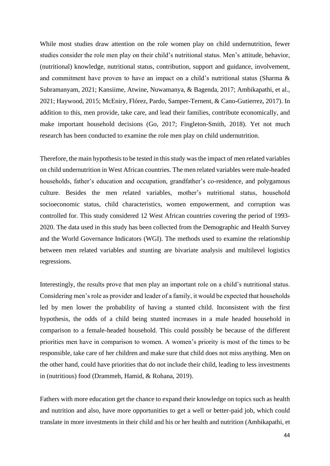While most studies draw attention on the role women play on child undernutrition, fewer studies consider the role men play on their child's nutritional status. Men's attitude, behavior, (nutritional) knowledge, nutritional status, contribution, support and guidance, involvement, and commitment have proven to have an impact on a child's nutritional status (Sharma & Subramanyam, 2021; Kansiime, Atwine, Nuwamanya, & Bagenda, 2017; Ambikapathi, et al., 2021; Haywood, 2015; McEniry, Flórez, Pardo, Samper-Ternent, & Cano-Gutierrez, 2017). In addition to this, men provide, take care, and lead their families, contribute economically, and make important household decisions (Go, 2017; Fingleton-Smith, 2018). Yet not much research has been conducted to examine the role men play on child undernutrition.

Therefore, the main hypothesis to be tested in this study wasthe impact of men related variables on child undernutrition in West African countries. The men related variables were male-headed households, father's education and occupation, grandfather's co-residence, and polygamous culture. Besides the men related variables, mother's nutritional status, household socioeconomic status, child characteristics, women empowerment, and corruption was controlled for. This study considered 12 West African countries covering the period of 1993- 2020. The data used in this study has been collected from the Demographic and Health Survey and the World Governance Indicators (WGI). The methods used to examine the relationship between men related variables and stunting are bivariate analysis and multilevel logistics regressions.

Interestingly, the results prove that men play an important role on a child's nutritional status. Considering men's role as provider and leader of a family, it would be expected that households led by men lower the probability of having a stunted child. Inconsistent with the first hypothesis, the odds of a child being stunted increases in a male headed household in comparison to a female-headed household. This could possibly be because of the different priorities men have in comparison to women. A women's priority is most of the times to be responsible, take care of her children and make sure that child does not miss anything. Men on the other hand, could have priorities that do not include their child, leading to less investments in (nutritious) food (Drammeh, Hamid, & Rohana, 2019).

Fathers with more education get the chance to expand their knowledge on topics such as health and nutrition and also, have more opportunities to get a well or better-paid job, which could translate in more investments in their child and his or her health and nutrition (Ambikapathi, et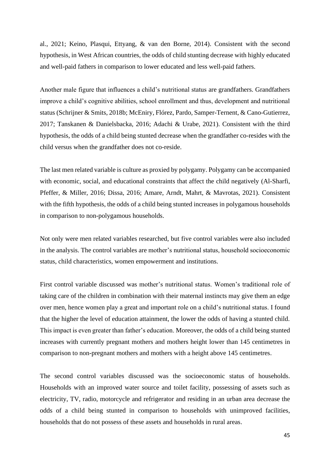al., 2021; Keino, Plasqui, Ettyang, & van den Borne, 2014). Consistent with the second hypothesis, in West African countries, the odds of child stunting decrease with highly educated and well-paid fathers in comparison to lower educated and less well-paid fathers.

Another male figure that influences a child's nutritional status are grandfathers. Grandfathers improve a child's cognitive abilities, school enrollment and thus, development and nutritional status (Schrijner & Smits, 2018b; McEniry, Flórez, Pardo, Samper-Ternent, & Cano-Gutierrez, 2017; Tanskanen & Danielsbacka, 2016; Adachi & Urabe, 2021). Consistent with the third hypothesis, the odds of a child being stunted decrease when the grandfather co-resides with the child versus when the grandfather does not co-reside.

The last men related variable is culture as proxied by polygamy. Polygamy can be accompanied with economic, social, and educational constraints that affect the child negatively (Al-Sharfi, Pfeffer, & Miller, 2016; Dissa, 2016; Amare, Arndt, Mahrt, & Mavrotas, 2021). Consistent with the fifth hypothesis, the odds of a child being stunted increases in polygamous households in comparison to non-polygamous households.

Not only were men related variables researched, but five control variables were also included in the analysis. The control variables are mother's nutritional status, household socioeconomic status, child characteristics, women empowerment and institutions.

First control variable discussed was mother's nutritional status. Women's traditional role of taking care of the children in combination with their maternal instincts may give them an edge over men, hence women play a great and important role on a child's nutritional status. I found that the higher the level of education attainment, the lower the odds of having a stunted child. This impact is even greater than father's education. Moreover, the odds of a child being stunted increases with currently pregnant mothers and mothers height lower than 145 centimetres in comparison to non-pregnant mothers and mothers with a height above 145 centimetres.

The second control variables discussed was the socioeconomic status of households. Households with an improved water source and toilet facility, possessing of assets such as electricity, TV, radio, motorcycle and refrigerator and residing in an urban area decrease the odds of a child being stunted in comparison to households with unimproved facilities, households that do not possess of these assets and households in rural areas.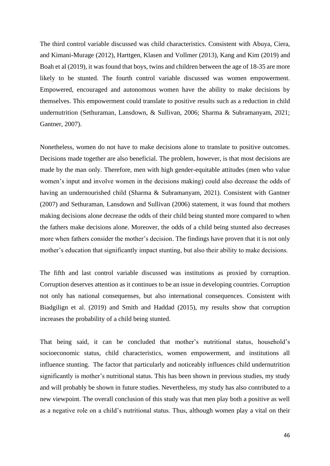The third control variable discussed was child characteristics. Consistent with Abuya, Ciera, and Kimani-Murage (2012), Harttgen, Klasen and Vollmer (2013), Kang and Kim (2019) and Boah et al (2019), it was found that boys, twins and children between the age of 18-35 are more likely to be stunted. The fourth control variable discussed was women empowerment. Empowered, encouraged and autonomous women have the ability to make decisions by themselves. This empowerment could translate to positive results such as a reduction in child undernutrition (Sethuraman, Lansdown, & Sullivan, 2006; Sharma & Subramanyam, 2021; Gantner, 2007).

Nonetheless, women do not have to make decisions alone to translate to positive outcomes. Decisions made together are also beneficial. The problem, however, is that most decisions are made by the man only. Therefore, men with high gender-equitable attitudes (men who value women's input and involve women in the decisions making) could also decrease the odds of having an undernourished child (Sharma & Subramanyam, 2021). Consistent with Gantner (2007) and Sethuraman, Lansdown and Sullivan (2006) statement, it was found that mothers making decisions alone decrease the odds of their child being stunted more compared to when the fathers make decisions alone. Moreover, the odds of a child being stunted also decreases more when fathers consider the mother's decision. The findings have proven that it is not only mother's education that significantly impact stunting, but also their ability to make decisions.

The fifth and last control variable discussed was institutions as proxied by corruption. Corruption deserves attention as it continues to be an issue in developing countries. Corruption not only has national consequenses, but also international consequences. Consistent with Biadgilign et al. (2019) and Smith and Haddad (2015), my results show that corruption increases the probability of a child being stunted.

That being said, it can be concluded that mother's nutritional status, household's socioeconomic status, child characteristics, women empowerment, and institutions all influence stunting. The factor that particularly and noticeably influences child undernutrition significantly is mother's nutritional status. This has been shown in previous studies, my study and will probably be shown in future studies. Nevertheless, my study has also contributed to a new viewpoint. The overall conclusion of this study was that men play both a positive as well as a negative role on a child's nutritional status. Thus, although women play a vital on their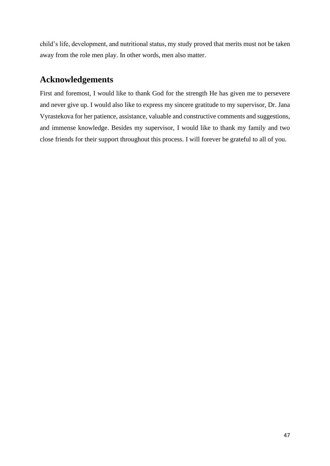child's life, development, and nutritional status, my study proved that merits must not be taken away from the role men play. In other words, men also matter.

## **Acknowledgements**

First and foremost, I would like to thank God for the strength He has given me to persevere and never give up. I would also like to express my sincere gratitude to my supervisor, Dr. Jana Vyrastekova for her patience, assistance, valuable and constructive comments and suggestions, and immense knowledge. Besides my supervisor, I would like to thank my family and two close friends for their support throughout this process. I will forever be grateful to all of you.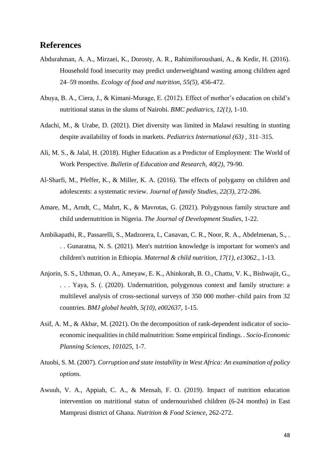## <span id="page-48-0"></span>**References**

- Abdurahman, A. A., Mirzaei, K., Dorosty, A. R., Rahimiforoushani, A., & Kedir, H. (2016). Household food insecurity may predict underweightand wasting among children aged 24–59 months. *Ecology of food and nutrition, 55(5)*, 456-472.
- Abuya, B. A., Ciera, J., & Kimani-Murage, E. (2012). Effect of mother's education on child's nutritional status in the slums of Nairobi. *BMC pediatrics, 12(1)*, 1-10.
- Adachi, M., & Urabe, D. (2021). Diet diversity was limited in Malawi resulting in stunting despite availability of foods in markets. *Pediatrics International (63)* , 311–315.
- Ali, M. S., & Jalal, H. (2018). Higher Education as a Predictor of Employment: The World of Work Perspective. *Bulletin of Education and Research, 40(2)*, 79-90.
- Al-Sharfi, M., Pfeffer, K., & Miller, K. A. (2016). The effects of polygamy on children and adolescents: a systematic review. *Journal of family Studies, 22(3)*, 272-286.
- Amare, M., Arndt, C., Mahrt, K., & Mavrotas, G. (2021). Polygynous family structure and child undernutrition in Nigeria. *The Journal of Development Studies*, 1-22.
- Ambikapathi, R., Passarelli, S., Madzorera, I., Canavan, C. R., Noor, R. A., Abdelmenan, S., . . . Gunaratna, N. S. (2021). Men's nutrition knowledge is important for women's and children's nutrition in Ethiopia. *Maternal & child nutrition, 17(1), e13062.*, 1-13.
- Anjorin, S. S., Uthman, O. A., Ameyaw, E. K., Ahinkorah, B. O., Chattu, V. K., Bishwajit, G., . . . Yaya, S. (. (2020). Undernutrition, polygynous context and family structure: a multilevel analysis of cross-sectional surveys of 350 000 mother–child pairs from 32 countries. *BMJ global health, 5(10), e002637*, 1-15.
- Asif, A. M., & Akbar, M. (2021). On the decomposition of rank-dependent indicator of socioeconomic inequalities in child malnutrition: Some empirical findings. . *Socio-Economic Planning Sciences, 101025*, 1-7.
- Atuobi, S. M. (2007). *Corruption and state instability in West Africa: An examination of policy options.*
- Awuuh, V. A., Appiah, C. A., & Mensah, F. O. (2019). Impact of nutrition education intervention on nutritional status of undernourished children (6-24 months) in East Mamprusi district of Ghana. *Nutrition & Food Science*, 262-272.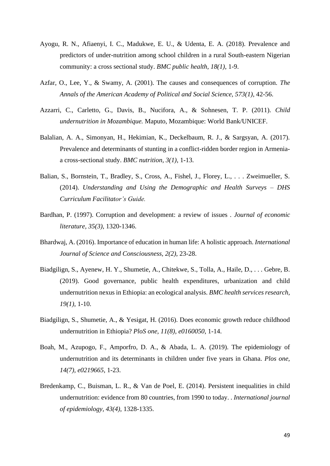- Ayogu, R. N., Afiaenyi, I. C., Madukwe, E. U., & Udenta, E. A. (2018). Prevalence and predictors of under-nutrition among school children in a rural South-eastern Nigerian community: a cross sectional study. *BMC public health, 18(1)*, 1-9.
- Azfar, O., Lee, Y., & Swamy, A. (2001). The causes and consequences of corruption. *The Annals of the American Academy of Political and Social Science, 573(1)*, 42-56.
- Azzarri, C., Carletto, G., Davis, B., Nucifora, A., & Sohnesen, T. P. (2011). *Child undernutrition in Mozambique.* Maputo, Mozambique: World Bank/UNICEF.
- Balalian, A. A., Simonyan, H., Hekimian, K., Deckelbaum, R. J., & Sargsyan, A. (2017). Prevalence and determinants of stunting in a conflict-ridden border region in Armeniaa cross-sectional study. *BMC nutrition, 3(1)*, 1-13.
- Balian, S., Bornstein, T., Bradley, S., Cross, A., Fishel, J., Florey, L., . . . Zweimueller, S. (2014). *Understanding and Using the Demographic and Health Surveys – DHS Curriculum Facilitator's Guide.*
- Bardhan, P. (1997). Corruption and development: a review of issues . *Journal of economic literature, 35(3)*, 1320-1346.
- Bhardwaj, A. (2016). Importance of education in human life: A holistic approach. *International Journal of Science and Consciousness, 2(2)*, 23-28.
- Biadgilign, S., Ayenew, H. Y., Shumetie, A., Chitekwe, S., Tolla, A., Haile, D., . . . Gebre, B. (2019). Good governance, public health expenditures, urbanization and child undernutrition nexus in Ethiopia: an ecological analysis. *BMC health services research, 19(1)*, 1-10.
- Biadgilign, S., Shumetie, A., & Yesigat, H. (2016). Does economic growth reduce childhood undernutrition in Ethiopia? *PloS one, 11(8), e0160050*, 1-14.
- Boah, M., Azupogo, F., Amporfro, D. A., & Abada, L. A. (2019). The epidemiology of undernutrition and its determinants in children under five years in Ghana. *Plos one, 14(7), e0219665*, 1-23.
- Bredenkamp, C., Buisman, L. R., & Van de Poel, E. (2014). Persistent inequalities in child undernutrition: evidence from 80 countries, from 1990 to today. . *International journal of epidemiology, 43(4)*, 1328-1335.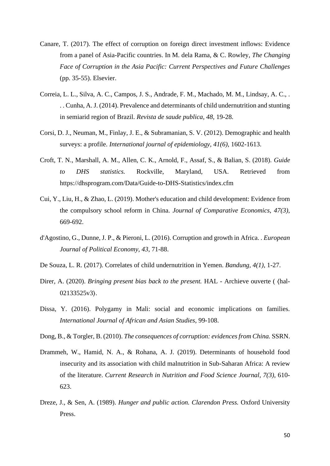- Canare, T. (2017). The effect of corruption on foreign direct investment inflows: Evidence from a panel of Asia-Pacific countries. In M. dela Rama, & C. Rowley, *The Changing Face of Corruption in the Asia Pacific: Current Perspectives and Future Challenges* (pp. 35-55). Elsevier.
- Correia, L. L., Silva, A. C., Campos, J. S., Andrade, F. M., Machado, M. M., Lindsay, A. C., . . . Cunha, A. J. (2014). Prevalence and determinants of child undernutrition and stunting in semiarid region of Brazil. *Revista de saude publica, 48*, 19-28.
- Corsi, D. J., Neuman, M., Finlay, J. E., & Subramanian, S. V. (2012). Demographic and health surveys: a profile. *International journal of epidemiology, 41(6)*, 1602-1613.
- Croft, T. N., Marshall, A. M., Allen, C. K., Arnold, F., Assaf, S., & Balian, S. (2018). *Guide to DHS statistics.* Rockville, Maryland, USA. Retrieved from https://dhsprogram.com/Data/Guide-to-DHS-Statistics/index.cfm
- Cui, Y., Liu, H., & Zhao, L. (2019). Mother's education and child development: Evidence from the compulsory school reform in China. *Journal of Comparative Economics, 47(3)*, 669-692.
- d'Agostino, G., Dunne, J. P., & Pieroni, L. (2016). Corruption and growth in Africa. . *European Journal of Political Economy, 43*, 71-88.
- De Souza, L. R. (2017). Correlates of child undernutrition in Yemen. *Bandung, 4(1)*, 1-27.
- Direr, A. (2020). *Bringing present bias back to the present.* HAL Archieve ouverte ( ⟨hal-02133525v3⟩.
- Dissa, Y. (2016). Polygamy in Mali: social and economic implications on families. *International Journal of African and Asian Studies*, 99-108.
- Dong, B., & Torgler, B. (2010). *The consequences of corruption: evidences from China.* SSRN.
- Drammeh, W., Hamid, N. A., & Rohana, A. J. (2019). Determinants of household food insecurity and its association with child malnutrition in Sub-Saharan Africa: A review of the literature. *Current Research in Nutrition and Food Science Journal, 7(3)*, 610- 623.
- Dreze, J., & Sen, A. (1989). *Hunger and public action. Clarendon Press.* Oxford University Press.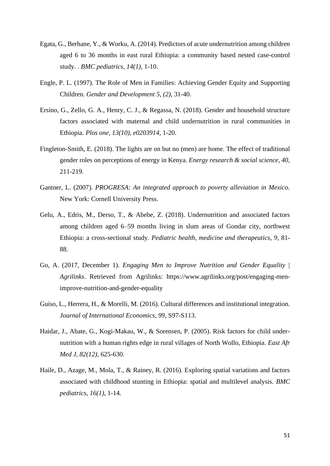- Egata, G., Berhane, Y., & Worku, A. (2014). Predictors of acute undernutrition among children aged 6 to 36 months in east rural Ethiopia: a community based nested case-control study. . *BMC pediatrics, 14(1)*, 1-10.
- Engle, P. L. (1997). The Role of Men in Families: Achieving Gender Equity and Supporting Children. *Gender and Development 5, (2)*, 31-40.
- Ersino, G., Zello, G. A., Henry, C. J., & Regassa, N. (2018). Gender and household structure factors associated with maternal and child undernutrition in rural communities in Ethiopia. *Plos one, 13(10), e0203914*, 1-20.
- Fingleton-Smith, E. (2018). The lights are on but no (men) are home. The effect of traditional gender roles on perceptions of energy in Kenya. *Energy research & social science, 40*, 211-219.
- Gantner, L. (2007). *PROGRESA: An integrated approach to poverty alleviation in Mexico.* New York: Cornell University Press.
- Gelu, A., Edris, M., Derso, T., & Abebe, Z. (2018). Undernutrition and associated factors among children aged 6–59 months living in slum areas of Gondar city, northwest Ethiopia: a cross-sectional study. *Pediatric health, medicine and therapeutics, 9*, 81- 88.
- Go, A. (2017, December 1). *Engaging Men to Improve Nutrition and Gender Equality | Agrilinks*. Retrieved from Agrilinks: https://www.agrilinks.org/post/engaging-menimprove-nutrition-and-gender-equality
- Guiso, L., Herrera, H., & Morelli, M. (2016). Cultural differences and institutional integration. *Journal of International Economics, 99*, S97-S113.
- Haidar, J., Abate, G., Kogi-Makau, W., & Sorensen, P. (2005). Risk factors for child undernutrition with a human rights edge in rural villages of North Wollo, Ethiopia. *East Afr Med J, 82(12)*, 625-630.
- Haile, D., Azage, M., Mola, T., & Rainey, R. (2016). Exploring spatial variations and factors associated with childhood stunting in Ethiopia: spatial and multilevel analysis. *BMC pediatrics, 16(1)*, 1-14.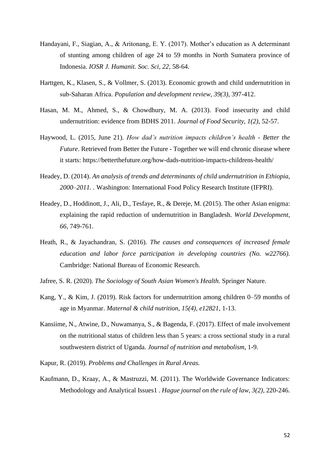- Handayani, F., Siagian, A., & Aritonang, E. Y. (2017). Mother's education as A determinant of stunting among children of age 24 to 59 months in North Sumatera province of Indonesia. *IOSR J. Humanit. Soc. Sci, 22*, 58-64.
- Harttgen, K., Klasen, S., & Vollmer, S. (2013). Economic growth and child undernutrition in sub‐Saharan Africa. *Population and development review, 39(3)*, 397-412.
- Hasan, M. M., Ahmed, S., & Chowdhury, M. A. (2013). Food insecurity and child undernutrition: evidence from BDHS 2011. *Journal of Food Security, 1(2)*, 52-57.
- Haywood, L. (2015, June 21). *How dad's nutrition impacts children's health - Better the Future*. Retrieved from Better the Future - Together we will end chronic disease where it starts: https://betterthefuture.org/how-dads-nutrition-impacts-childrens-health/
- Headey, D. (2014). *An analysis of trends and determinants of child undernutrition in Ethiopia, 2000–2011. .* Washington: International Food Policy Research Institute (IFPRI).
- Headey, D., Hoddinott, J., Ali, D., Tesfaye, R., & Dereje, M. (2015). The other Asian enigma: explaining the rapid reduction of undernutrition in Bangladesh. *World Development, 66*, 749-761.
- Heath, R., & Jayachandran, S. (2016). *The causes and consequences of increased female education and labor force participation in developing countries (No. w22766).* Cambridge: National Bureau of Economic Research.
- Jafree, S. R. (2020). *The Sociology of South Asian Women's Health.* Springer Nature.
- Kang, Y., & Kim, J. (2019). Risk factors for undernutrition among children 0–59 months of age in Myanmar. *Maternal & child nutrition, 15(4), e12821*, 1-13.
- Kansiime, N., Atwine, D., Nuwamanya, S., & Bagenda, F. (2017). Effect of male involvement on the nutritional status of children less than 5 years: a cross sectional study in a rural southwestern district of Uganda. *Journal of nutrition and metabolism*, 1-9.
- Kapur, R. (2019). *Problems and Challenges in Rural Areas.*
- Kaufmann, D., Kraay, A., & Mastruzzi, M. (2011). The Worldwide Governance Indicators: Methodology and Analytical Issues1 . *Hague journal on the rule of law, 3(2)*, 220-246.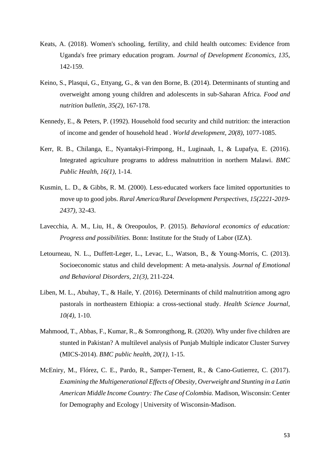- Keats, A. (2018). Women's schooling, fertility, and child health outcomes: Evidence from Uganda's free primary education program. *Journal of Development Economics, 135*, 142-159.
- Keino, S., Plasqui, G., Ettyang, G., & van den Borne, B. (2014). Determinants of stunting and overweight among young children and adolescents in sub-Saharan Africa. *Food and nutrition bulletin, 35(2)*, 167-178.
- Kennedy, E., & Peters, P. (1992). Household food security and child nutrition: the interaction of income and gender of household head . *World development, 20(8)*, 1077-1085.
- Kerr, R. B., Chilanga, E., Nyantakyi-Frimpong, H., Luginaah, I., & Lupafya, E. (2016). Integrated agriculture programs to address malnutrition in northern Malawi. *BMC Public Health, 16(1)*, 1-14.
- Kusmin, L. D., & Gibbs, R. M. (2000). Less-educated workers face limited opportunities to move up to good jobs. *Rural America/Rural Development Perspectives, 15(2221-2019- 2437)*, 32-43.
- Lavecchia, A. M., Liu, H., & Oreopoulos, P. (2015). *Behavioral economics of education: Progress and possibilities.* Bonn: Institute for the Study of Labor (IZA).
- Letourneau, N. L., Duffett-Leger, L., Levac, L., Watson, B., & Young-Morris, C. (2013). Socioeconomic status and child development: A meta-analysis. *Journal of Emotional and Behavioral Disorders, 21(3)*, 211-224.
- Liben, M. L., Abuhay, T., & Haile, Y. (2016). Determinants of child malnutrition among agro pastorals in northeastern Ethiopia: a cross-sectional study. *Health Science Journal, 10(4)*, 1-10.
- Mahmood, T., Abbas, F., Kumar, R., & Somrongthong, R. (2020). Why under five children are stunted in Pakistan? A multilevel analysis of Punjab Multiple indicator Cluster Survey (MICS-2014). *BMC public health, 20(1)*, 1-15.
- McEniry, M., Flórez, C. E., Pardo, R., Samper-Ternent, R., & Cano-Gutierrez, C. (2017). *Examining the Multigenerational Effects of Obesity, Overweight and Stunting in a Latin American Middle Income Country: The Case of Colombia.* Madison, Wisconsin: Center for Demography and Ecology | University of Wisconsin-Madison.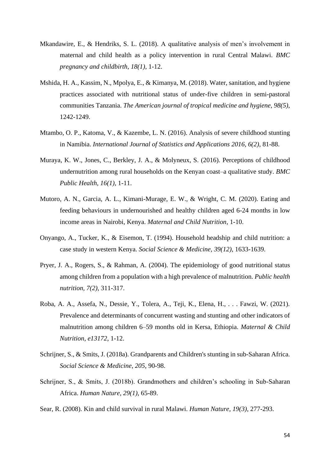- Mkandawire, E., & Hendriks, S. L. (2018). A qualitative analysis of men's involvement in maternal and child health as a policy intervention in rural Central Malawi. *BMC pregnancy and childbirth, 18(1)*, 1-12.
- Mshida, H. A., Kassim, N., Mpolya, E., & Kimanya, M. (2018). Water, sanitation, and hygiene practices associated with nutritional status of under-five children in semi-pastoral communities Tanzania. *The American journal of tropical medicine and hygiene, 98(5)*, 1242-1249.
- Mtambo, O. P., Katoma, V., & Kazembe, L. N. (2016). Analysis of severe childhood stunting in Namibia. *International Journal of Statistics and Applications 2016, 6(2)*, 81-88.
- Muraya, K. W., Jones, C., Berkley, J. A., & Molyneux, S. (2016). Perceptions of childhood undernutrition among rural households on the Kenyan coast–a qualitative study. *BMC Public Health, 16(1)*, 1-11.
- Mutoro, A. N., Garcia, A. L., Kimani-Murage, E. W., & Wright, C. M. (2020). Eating and feeding behaviours in undernourished and healthy children aged 6-24 months in low income areas in Nairobi, Kenya. *Maternal and Child Nutrition*, 1-10.
- Onyango, A., Tucker, K., & Eisemon, T. (1994). Household headship and child nutrition: a case study in western Kenya. *Social Science & Medicine, 39(12)*, 1633-1639.
- Pryer, J. A., Rogers, S., & Rahman, A. (2004). The epidemiology of good nutritional status among children from a population with a high prevalence of malnutrition. *Public health nutrition, 7(2)*, 311-317.
- Roba, A. A., Assefa, N., Dessie, Y., Tolera, A., Teji, K., Elena, H., . . . Fawzi, W. (2021). Prevalence and determinants of concurrent wasting and stunting and other indicators of malnutrition among children 6–59 months old in Kersa, Ethiopia. *Maternal & Child Nutrition, e13172*, 1-12.
- Schrijner, S., & Smits, J. (2018a). Grandparents and Children's stunting in sub-Saharan Africa. *Social Science & Medicine, 205*, 90-98.
- Schrijner, S., & Smits, J. (2018b). Grandmothers and children's schooling in Sub-Saharan Africa. *Human Nature, 29(1)*, 65-89.
- Sear, R. (2008). Kin and child survival in rural Malawi. *Human Nature, 19(3)*, 277-293.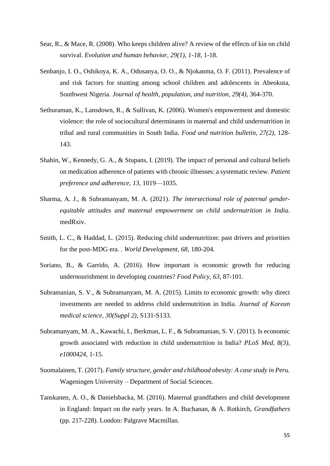- Sear, R., & Mace, R. (2008). Who keeps children alive? A review of the effects of kin on child survival. *Evolution and human behavior, 29(1), 1-18*, 1-18.
- Senbanjo, I. O., Oshikoya, K. A., Odusanya, O. O., & Njokanma, O. F. (2011). Prevalence of and risk factors for stunting among school children and adolescents in Abeokuta, Southwest Nigeria. *Journal of health, population, and nutrition, 29(4)*, 364-370.
- Sethuraman, K., Lansdown, R., & Sullivan, K. (2006). Women's empowerment and domestic violence: the role of sociocultural determinants in maternal and child undernutrition in tribal and rural communities in South India. *Food and nutrition bulletin, 27(2)*, 128- 143.
- Shahin, W., Kennedy, G. A., & Stupans, I. (2019). The impact of personal and cultural beliefs on medication adherence of patients with chronic illnesses: a systematic review. *Patient preference and adherence, 13*, 1019—1035.
- Sharma, A. J., & Subramanyam, M. A. (2021). *The intersectional role of paternal genderequitable attitudes and maternal empowerment on child undernutrition in India.* medRxiv.
- Smith, L. C., & Haddad, L. (2015). Reducing child undernutrition: past drivers and priorities for the post-MDG era. . *World Development, 68*, 180-204.
- Soriano, B., & Garrido, A. (2016). How important is economic growth for reducing undernourishment in developing countries? *Food Policy, 63*, 87-101.
- Subramanian, S. V., & Subramanyam, M. A. (2015). Limits to economic growth: why direct investments are needed to address child undernutrition in India. *Journal of Korean medical science, 30(Suppl 2)*, S131-S133.
- Subramanyam, M. A., Kawachi, I., Berkman, L. F., & Subramanian, S. V. (2011). Is economic growth associated with reduction in child undernutrition in India? *PLoS Med, 8(3), e1000424*, 1-15.
- Suomalainen, T. (2017). *Family structure, gender and childhood obesity: A case study in Peru.* Wageningen University – Department of Social Sciences.
- Tanskanen, A. O., & Danielsbacka, M. (2016). Maternal grandfathers and child development in England: Impact on the early years. In A. Buchanan, & A. Rotkirch, *Grandfathers* (pp. 217-228). London: Palgrave Macmillan.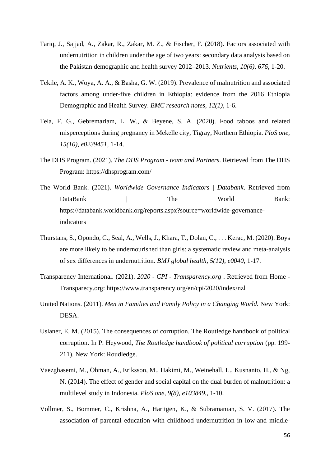- Tariq, J., Sajjad, A., Zakar, R., Zakar, M. Z., & Fischer, F. (2018). Factors associated with undernutrition in children under the age of two years: secondary data analysis based on the Pakistan demographic and health survey 2012–2013. *Nutrients, 10(6), 676*, 1-20.
- Tekile, A. K., Woya, A. A., & Basha, G. W. (2019). Prevalence of malnutrition and associated factors among under-five children in Ethiopia: evidence from the 2016 Ethiopia Demographic and Health Survey. *BMC research notes, 12(1)*, 1-6.
- Tela, F. G., Gebremariam, L. W., & Beyene, S. A. (2020). Food taboos and related misperceptions during pregnancy in Mekelle city, Tigray, Northern Ethiopia. *PloS one, 15(10), e0239451*, 1-14.
- The DHS Program. (2021). *The DHS Program - team and Partners*. Retrieved from The DHS Program: https://dhsprogram.com/
- The World Bank. (2021). *Worldwide Governance Indicators | Databank*. Retrieved from DataBank | The World Bank: https://databank.worldbank.org/reports.aspx?source=worldwide-governanceindicators
- Thurstans, S., Opondo, C., Seal, A., Wells, J., Khara, T., Dolan, C., . . . Kerac, M. (2020). Boys are more likely to be undernourished than girls: a systematic review and meta-analysis of sex differences in undernutrition. *BMJ global health, 5(12), e0040*, 1-17.
- Transparency International. (2021). *2020 - CPI - Transparency.org* . Retrieved from Home Transparecy.org: https://www.transparency.org/en/cpi/2020/index/nzl
- United Nations. (2011). *Men in Families and Family Policy in a Changing World.* New York: DESA.
- Uslaner, E. M. (2015). The consequences of corruption. The Routledge handbook of political corruption. In P. Heywood, *The Routledge handbook of political corruption* (pp. 199- 211). New York: Roudledge.
- Vaezghasemi, M., Öhman, A., Eriksson, M., Hakimi, M., Weinehall, L., Kusnanto, H., & Ng, N. (2014). The effect of gender and social capital on the dual burden of malnutrition: a multilevel study in Indonesia. *PloS one, 9(8), e103849.*, 1-10.
- Vollmer, S., Bommer, C., Krishna, A., Harttgen, K., & Subramanian, S. V. (2017). The association of parental education with childhood undernutrition in low-and middle-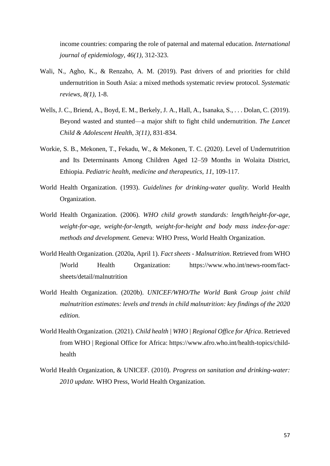income countries: comparing the role of paternal and maternal education. *International journal of epidemiology, 46(1)*, 312-323.

- Wali, N., Agho, K., & Renzaho, A. M. (2019). Past drivers of and priorities for child undernutrition in South Asia: a mixed methods systematic review protocol. *Systematic reviews, 8(1)*, 1-8.
- Wells, J. C., Briend, A., Boyd, E. M., Berkely, J. A., Hall, A., Isanaka, S., . . . Dolan, C. (2019). Beyond wasted and stunted—a major shift to fight child undernutrition. *The Lancet Child & Adolescent Health, 3(11)*, 831-834.
- Workie, S. B., Mekonen, T., Fekadu, W., & Mekonen, T. C. (2020). Level of Undernutrition and Its Determinants Among Children Aged 12–59 Months in Wolaita District, Ethiopia. *Pediatric health, medicine and therapeutics, 11*, 109-117.
- World Health Organization. (1993). *Guidelines for drinking-water quality.* World Health Organization.
- World Health Organization. (2006). *WHO child growth standards: length/height-for-age, weight-for-age, weight-for-length, weight-for-height and body mass index-for-age: methods and development.* Geneva: WHO Press, World Health Organization.
- World Health Organization. (2020a, April 1). *Fact sheets - Malnutrition*. Retrieved from WHO |World Health Organization: https://www.who.int/news-room/factsheets/detail/malnutrition
- World Health Organization. (2020b). *UNICEF/WHO/The World Bank Group joint child malnutrition estimates: levels and trends in child malnutrition: key findings of the 2020 edition.*
- World Health Organization. (2021). *Child health | WHO | Regional Office for Africa*. Retrieved from WHO | Regional Office for Africa: https://www.afro.who.int/health-topics/childhealth
- World Health Organization, & UNICEF. (2010). *Progress on sanitation and drinking-water: 2010 update.* WHO Press, World Health Organization.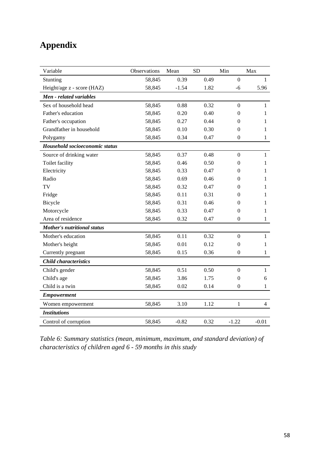## <span id="page-58-0"></span>**Appendix**

| Variable                           | Observations | Mean    | <b>SD</b> | Min              | Max            |
|------------------------------------|--------------|---------|-----------|------------------|----------------|
| Stunting                           | 58,845       | 0.39    | 0.49      | $\boldsymbol{0}$ | 1              |
| Height/age z - score (HAZ)         | 58,845       | $-1.54$ | 1.82      | $-6$             | 5.96           |
| Men - related variables            |              |         |           |                  |                |
| Sex of household head              | 58,845       | 0.88    | 0.32      | $\boldsymbol{0}$ | $\mathbf{1}$   |
| Father's education                 | 58,845       | 0.20    | 0.40      | 0                | 1              |
| Father's occupation                | 58,845       | 0.27    | 0.44      | 0                | 1              |
| Grandfather in household           | 58,845       | 0.10    | 0.30      | 0                | 1              |
| Polygamy                           | 58,845       | 0.34    | 0.47      | $\boldsymbol{0}$ | $\mathbf{1}$   |
| Household socioeconomic status     |              |         |           |                  |                |
| Source of drinking water           | 58,845       | 0.37    | 0.48      | $\boldsymbol{0}$ | $\mathbf{1}$   |
| Toilet facility                    | 58,845       | 0.46    | 0.50      | $\boldsymbol{0}$ | 1              |
| Electricity                        | 58,845       | 0.33    | 0.47      | 0                | 1              |
| Radio                              | 58,845       | 0.69    | 0.46      | 0                | 1              |
| TV                                 | 58,845       | 0.32    | 0.47      | 0                | 1              |
| Fridge                             | 58,845       | 0.11    | 0.31      | 0                | 1              |
| Bicycle                            | 58,845       | 0.31    | 0.46      | 0                | 1              |
| Motorcycle                         | 58,845       | 0.33    | 0.47      | 0                | 1              |
| Area of residence                  | 58,845       | 0.32    | 0.47      | $\boldsymbol{0}$ | $\mathbf{1}$   |
| <b>Mother's nutritional status</b> |              |         |           |                  |                |
| Mother's education                 | 58,845       | 0.11    | 0.32      | $\overline{0}$   | $\mathbf{1}$   |
| Mother's height                    | 58,845       | 0.01    | 0.12      | $\boldsymbol{0}$ | 1              |
| Currently pregnant                 | 58,845       | 0.15    | 0.36      | $\boldsymbol{0}$ | $\mathbf{1}$   |
| <b>Child characteristics</b>       |              |         |           |                  |                |
| Child's gender                     | 58,845       | 0.51    | 0.50      | $\overline{0}$   | $\mathbf{1}$   |
| Child's age                        | 58,845       | 3.86    | 1.75      | $\mathbf{0}$     | 6              |
| Child is a twin                    | 58,845       | 0.02    | 0.14      | $\boldsymbol{0}$ | $\mathbf{1}$   |
| <b>Empowerment</b>                 |              |         |           |                  |                |
| Women empowerment                  | 58,845       | 3.10    | 1.12      | $\mathbf{1}$     | $\overline{4}$ |
| <b>Institutions</b>                |              |         |           |                  |                |
| Control of corruption              | 58,845       | $-0.82$ | 0.32      | $-1.22$          | $-0.01$        |

<span id="page-58-1"></span>*Table 6: Summary statistics (mean, minimum, maximum, and standard deviation) of characteristics of children aged 6 - 59 months in this study*